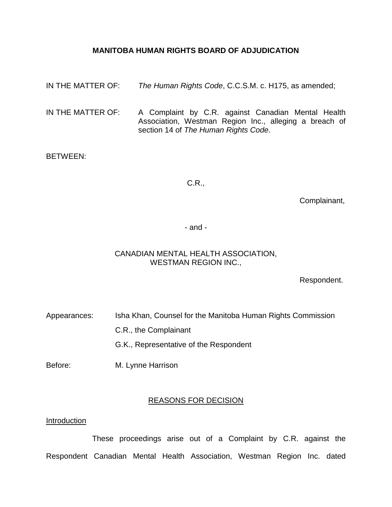# **MANITOBA HUMAN RIGHTS BOARD OF ADJUDICATION**

- IN THE MATTER OF: *The Human Rights Code*, C.C.S.M. c. H175, as amended;
- IN THE MATTER OF: A Complaint by C.R. against Canadian Mental Health Association, Westman Region Inc., alleging a breach of section 14 of *The Human Rights Code*.

# BETWEEN:

# C.R.,

Complainant,

- and -

# CANADIAN MENTAL HEALTH ASSOCIATION, WESTMAN REGION INC.,

Respondent.

Appearances: Isha Khan, Counsel for the Manitoba Human Rights Commission

C.R., the Complainant

G.K., Representative of the Respondent

Before: M. Lynne Harrison

# REASONS FOR DECISION

### Introduction

These proceedings arise out of a Complaint by C.R. against the Respondent Canadian Mental Health Association, Westman Region Inc. dated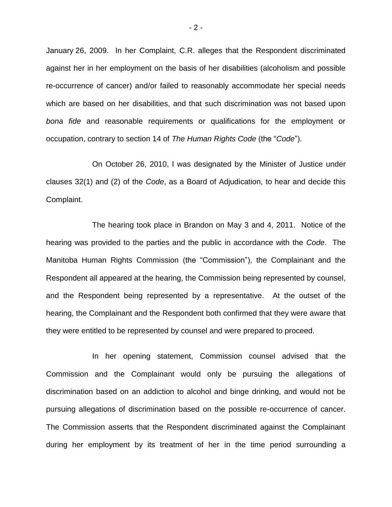January 26, 2009. In her Complaint, C.R. alleges that the Respondent discriminated against her in her employment on the basis of her disabilities (alcoholism and possible re-occurrence of cancer) and/or failed to reasonably accommodate her special needs which are based on her disabilities, and that such discrimination was not based upon *bona fide* and reasonable requirements or qualifications for the employment or occupation, contrary to section 14 of *The Human Rights Code* (the "*Code*").

On October 26, 2010, I was designated by the Minister of Justice under clauses 32(1) and (2) of the *Code*, as a Board of Adjudication, to hear and decide this Complaint.

The hearing took place in Brandon on May 3 and 4, 2011. Notice of the hearing was provided to the parties and the public in accordance with the *Code*. The Manitoba Human Rights Commission (the "Commission"), the Complainant and the Respondent all appeared at the hearing, the Commission being represented by counsel, and the Respondent being represented by a representative. At the outset of the hearing, the Complainant and the Respondent both confirmed that they were aware that they were entitled to be represented by counsel and were prepared to proceed.

In her opening statement, Commission counsel advised that the Commission and the Complainant would only be pursuing the allegations of discrimination based on an addiction to alcohol and binge drinking, and would not be pursuing allegations of discrimination based on the possible re-occurrence of cancer. The Commission asserts that the Respondent discriminated against the Complainant during her employment by its treatment of her in the time period surrounding a

- 2 -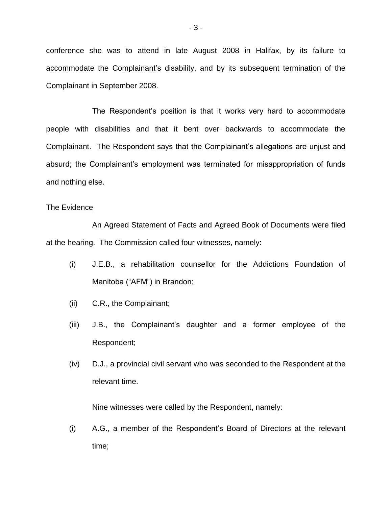conference she was to attend in late August 2008 in Halifax, by its failure to accommodate the Complainant's disability, and by its subsequent termination of the Complainant in September 2008.

The Respondent"s position is that it works very hard to accommodate people with disabilities and that it bent over backwards to accommodate the Complainant. The Respondent says that the Complainant"s allegations are unjust and absurd; the Complainant's employment was terminated for misappropriation of funds and nothing else.

# The Evidence

An Agreed Statement of Facts and Agreed Book of Documents were filed at the hearing. The Commission called four witnesses, namely:

- (i) J.E.B., a rehabilitation counsellor for the Addictions Foundation of Manitoba ("AFM") in Brandon;
- (ii) C.R., the Complainant;
- (iii) J.B., the Complainant"s daughter and a former employee of the Respondent;
- (iv) D.J., a provincial civil servant who was seconded to the Respondent at the relevant time.

Nine witnesses were called by the Respondent, namely:

(i) A.G., a member of the Respondent"s Board of Directors at the relevant time;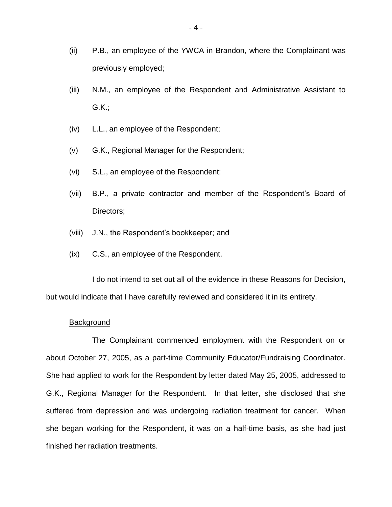- (ii) P.B., an employee of the YWCA in Brandon, where the Complainant was previously employed;
- (iii) N.M., an employee of the Respondent and Administrative Assistant to G.K.;
- (iv) L.L., an employee of the Respondent;
- (v) G.K., Regional Manager for the Respondent;
- (vi) S.L., an employee of the Respondent;
- (vii) B.P., a private contractor and member of the Respondent"s Board of Directors;
- (viii) J.N., the Respondent"s bookkeeper; and
- (ix) C.S., an employee of the Respondent.

I do not intend to set out all of the evidence in these Reasons for Decision, but would indicate that I have carefully reviewed and considered it in its entirety.

### **Background**

The Complainant commenced employment with the Respondent on or about October 27, 2005, as a part-time Community Educator/Fundraising Coordinator. She had applied to work for the Respondent by letter dated May 25, 2005, addressed to G.K., Regional Manager for the Respondent. In that letter, she disclosed that she suffered from depression and was undergoing radiation treatment for cancer. When she began working for the Respondent, it was on a half-time basis, as she had just finished her radiation treatments.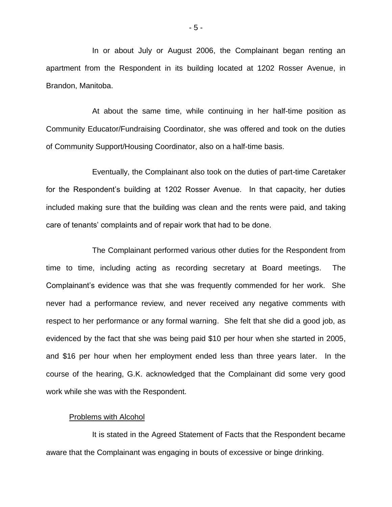In or about July or August 2006, the Complainant began renting an apartment from the Respondent in its building located at 1202 Rosser Avenue, in Brandon, Manitoba.

At about the same time, while continuing in her half-time position as Community Educator/Fundraising Coordinator, she was offered and took on the duties of Community Support/Housing Coordinator, also on a half-time basis.

Eventually, the Complainant also took on the duties of part-time Caretaker for the Respondent's building at 1202 Rosser Avenue. In that capacity, her duties included making sure that the building was clean and the rents were paid, and taking care of tenants" complaints and of repair work that had to be done.

The Complainant performed various other duties for the Respondent from time to time, including acting as recording secretary at Board meetings. The Complainant"s evidence was that she was frequently commended for her work. She never had a performance review, and never received any negative comments with respect to her performance or any formal warning. She felt that she did a good job, as evidenced by the fact that she was being paid \$10 per hour when she started in 2005, and \$16 per hour when her employment ended less than three years later. In the course of the hearing, G.K. acknowledged that the Complainant did some very good work while she was with the Respondent.

### Problems with Alcohol

It is stated in the Agreed Statement of Facts that the Respondent became aware that the Complainant was engaging in bouts of excessive or binge drinking.

- 5 -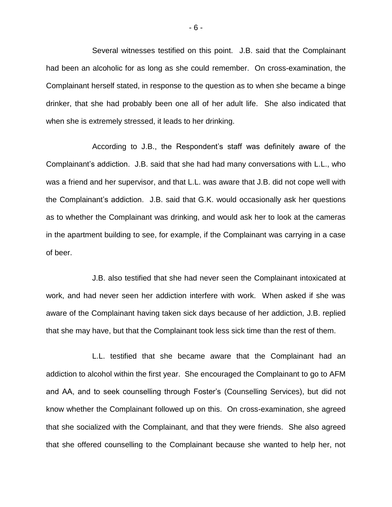Several witnesses testified on this point. J.B. said that the Complainant had been an alcoholic for as long as she could remember. On cross-examination, the Complainant herself stated, in response to the question as to when she became a binge drinker, that she had probably been one all of her adult life. She also indicated that when she is extremely stressed, it leads to her drinking.

According to J.B., the Respondent's staff was definitely aware of the Complainant"s addiction. J.B. said that she had had many conversations with L.L., who was a friend and her supervisor, and that L.L. was aware that J.B. did not cope well with the Complainant"s addiction. J.B. said that G.K. would occasionally ask her questions as to whether the Complainant was drinking, and would ask her to look at the cameras in the apartment building to see, for example, if the Complainant was carrying in a case of beer.

J.B. also testified that she had never seen the Complainant intoxicated at work, and had never seen her addiction interfere with work. When asked if she was aware of the Complainant having taken sick days because of her addiction, J.B. replied that she may have, but that the Complainant took less sick time than the rest of them.

L.L. testified that she became aware that the Complainant had an addiction to alcohol within the first year. She encouraged the Complainant to go to AFM and AA, and to seek counselling through Foster"s (Counselling Services), but did not know whether the Complainant followed up on this. On cross-examination, she agreed that she socialized with the Complainant, and that they were friends. She also agreed that she offered counselling to the Complainant because she wanted to help her, not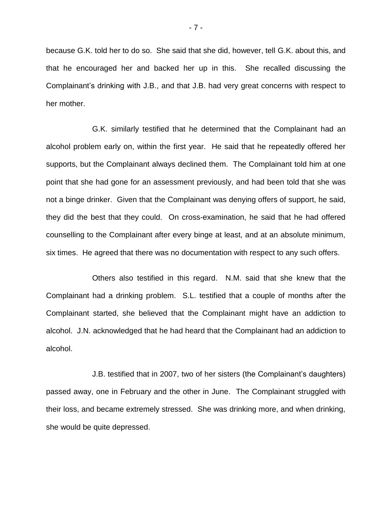because G.K. told her to do so. She said that she did, however, tell G.K. about this, and that he encouraged her and backed her up in this. She recalled discussing the Complainant"s drinking with J.B., and that J.B. had very great concerns with respect to her mother.

G.K. similarly testified that he determined that the Complainant had an alcohol problem early on, within the first year. He said that he repeatedly offered her supports, but the Complainant always declined them. The Complainant told him at one point that she had gone for an assessment previously, and had been told that she was not a binge drinker. Given that the Complainant was denying offers of support, he said, they did the best that they could. On cross-examination, he said that he had offered counselling to the Complainant after every binge at least, and at an absolute minimum, six times. He agreed that there was no documentation with respect to any such offers.

Others also testified in this regard. N.M. said that she knew that the Complainant had a drinking problem. S.L. testified that a couple of months after the Complainant started, she believed that the Complainant might have an addiction to alcohol. J.N. acknowledged that he had heard that the Complainant had an addiction to alcohol.

J.B. testified that in 2007, two of her sisters (the Complainant"s daughters) passed away, one in February and the other in June. The Complainant struggled with their loss, and became extremely stressed. She was drinking more, and when drinking, she would be quite depressed.

- 7 -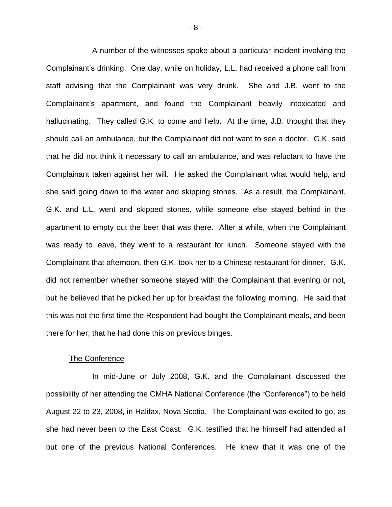A number of the witnesses spoke about a particular incident involving the Complainant"s drinking. One day, while on holiday, L.L. had received a phone call from staff advising that the Complainant was very drunk. She and J.B. went to the Complainant"s apartment, and found the Complainant heavily intoxicated and hallucinating. They called G.K. to come and help. At the time, J.B. thought that they should call an ambulance, but the Complainant did not want to see a doctor. G.K. said that he did not think it necessary to call an ambulance, and was reluctant to have the Complainant taken against her will. He asked the Complainant what would help, and she said going down to the water and skipping stones. As a result, the Complainant, G.K. and L.L. went and skipped stones, while someone else stayed behind in the apartment to empty out the beer that was there. After a while, when the Complainant was ready to leave, they went to a restaurant for lunch. Someone stayed with the Complainant that afternoon, then G.K. took her to a Chinese restaurant for dinner. G.K. did not remember whether someone stayed with the Complainant that evening or not, but he believed that he picked her up for breakfast the following morning. He said that this was not the first time the Respondent had bought the Complainant meals, and been there for her; that he had done this on previous binges.

### The Conference

In mid-June or July 2008, G.K. and the Complainant discussed the possibility of her attending the CMHA National Conference (the "Conference") to be held August 22 to 23, 2008, in Halifax, Nova Scotia. The Complainant was excited to go, as she had never been to the East Coast. G.K. testified that he himself had attended all but one of the previous National Conferences. He knew that it was one of the

- 8 -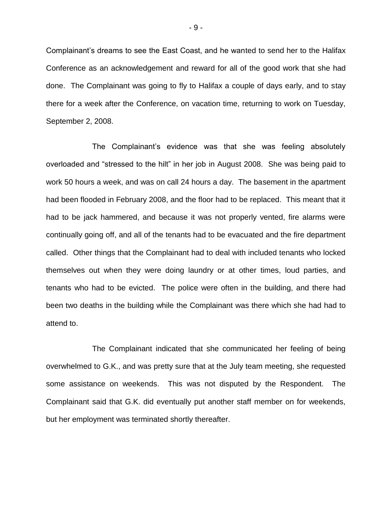Complainant"s dreams to see the East Coast, and he wanted to send her to the Halifax Conference as an acknowledgement and reward for all of the good work that she had done. The Complainant was going to fly to Halifax a couple of days early, and to stay there for a week after the Conference, on vacation time, returning to work on Tuesday, September 2, 2008.

The Complainant"s evidence was that she was feeling absolutely overloaded and "stressed to the hilt" in her job in August 2008. She was being paid to work 50 hours a week, and was on call 24 hours a day. The basement in the apartment had been flooded in February 2008, and the floor had to be replaced. This meant that it had to be jack hammered, and because it was not properly vented, fire alarms were continually going off, and all of the tenants had to be evacuated and the fire department called. Other things that the Complainant had to deal with included tenants who locked themselves out when they were doing laundry or at other times, loud parties, and tenants who had to be evicted. The police were often in the building, and there had been two deaths in the building while the Complainant was there which she had had to attend to.

The Complainant indicated that she communicated her feeling of being overwhelmed to G.K., and was pretty sure that at the July team meeting, she requested some assistance on weekends. This was not disputed by the Respondent. The Complainant said that G.K. did eventually put another staff member on for weekends, but her employment was terminated shortly thereafter.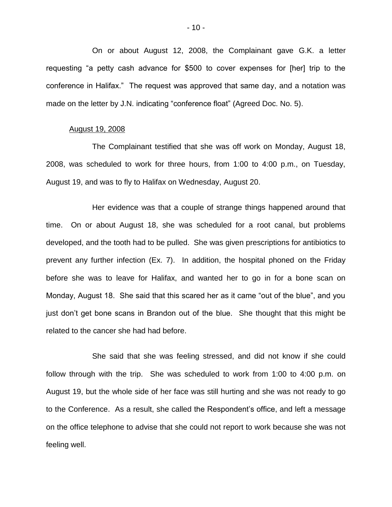On or about August 12, 2008, the Complainant gave G.K. a letter requesting "a petty cash advance for \$500 to cover expenses for [her] trip to the conference in Halifax." The request was approved that same day, and a notation was made on the letter by J.N. indicating "conference float" (Agreed Doc. No. 5).

### August 19, 2008

The Complainant testified that she was off work on Monday, August 18, 2008, was scheduled to work for three hours, from 1:00 to 4:00 p.m., on Tuesday, August 19, and was to fly to Halifax on Wednesday, August 20.

Her evidence was that a couple of strange things happened around that time. On or about August 18, she was scheduled for a root canal, but problems developed, and the tooth had to be pulled. She was given prescriptions for antibiotics to prevent any further infection (Ex. 7). In addition, the hospital phoned on the Friday before she was to leave for Halifax, and wanted her to go in for a bone scan on Monday, August 18. She said that this scared her as it came "out of the blue", and you just don't get bone scans in Brandon out of the blue. She thought that this might be related to the cancer she had had before.

She said that she was feeling stressed, and did not know if she could follow through with the trip. She was scheduled to work from 1:00 to 4:00 p.m. on August 19, but the whole side of her face was still hurting and she was not ready to go to the Conference. As a result, she called the Respondent"s office, and left a message on the office telephone to advise that she could not report to work because she was not feeling well.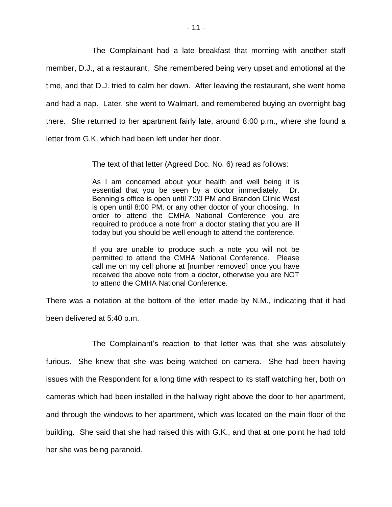The Complainant had a late breakfast that morning with another staff member, D.J., at a restaurant. She remembered being very upset and emotional at the time, and that D.J. tried to calm her down. After leaving the restaurant, she went home and had a nap. Later, she went to Walmart, and remembered buying an overnight bag there. She returned to her apartment fairly late, around 8:00 p.m., where she found a letter from G.K. which had been left under her door.

The text of that letter (Agreed Doc. No. 6) read as follows:

As I am concerned about your health and well being it is essential that you be seen by a doctor immediately. Dr. Benning's office is open until 7:00 PM and Brandon Clinic West is open until 8:00 PM, or any other doctor of your choosing. In order to attend the CMHA National Conference you are required to produce a note from a doctor stating that you are ill today but you should be well enough to attend the conference.

If you are unable to produce such a note you will not be permitted to attend the CMHA National Conference. Please call me on my cell phone at [number removed] once you have received the above note from a doctor, otherwise you are NOT to attend the CMHA National Conference.

There was a notation at the bottom of the letter made by N.M., indicating that it had been delivered at 5:40 p.m.

The Complainant's reaction to that letter was that she was absolutely furious. She knew that she was being watched on camera. She had been having issues with the Respondent for a long time with respect to its staff watching her, both on cameras which had been installed in the hallway right above the door to her apartment, and through the windows to her apartment, which was located on the main floor of the building. She said that she had raised this with G.K., and that at one point he had told her she was being paranoid.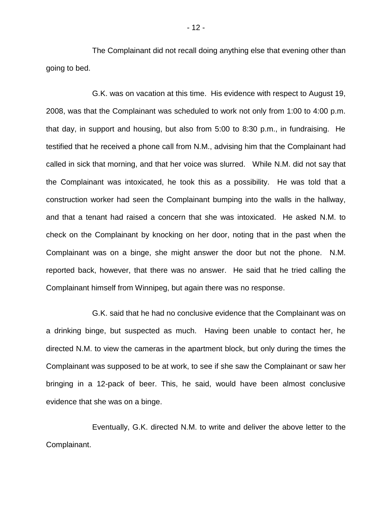The Complainant did not recall doing anything else that evening other than going to bed.

G.K. was on vacation at this time. His evidence with respect to August 19, 2008, was that the Complainant was scheduled to work not only from 1:00 to 4:00 p.m. that day, in support and housing, but also from 5:00 to 8:30 p.m., in fundraising. He testified that he received a phone call from N.M., advising him that the Complainant had called in sick that morning, and that her voice was slurred. While N.M. did not say that the Complainant was intoxicated, he took this as a possibility. He was told that a construction worker had seen the Complainant bumping into the walls in the hallway, and that a tenant had raised a concern that she was intoxicated. He asked N.M. to check on the Complainant by knocking on her door, noting that in the past when the Complainant was on a binge, she might answer the door but not the phone. N.M. reported back, however, that there was no answer. He said that he tried calling the Complainant himself from Winnipeg, but again there was no response.

G.K. said that he had no conclusive evidence that the Complainant was on a drinking binge, but suspected as much. Having been unable to contact her, he directed N.M. to view the cameras in the apartment block, but only during the times the Complainant was supposed to be at work, to see if she saw the Complainant or saw her bringing in a 12-pack of beer. This, he said, would have been almost conclusive evidence that she was on a binge.

Eventually, G.K. directed N.M. to write and deliver the above letter to the Complainant.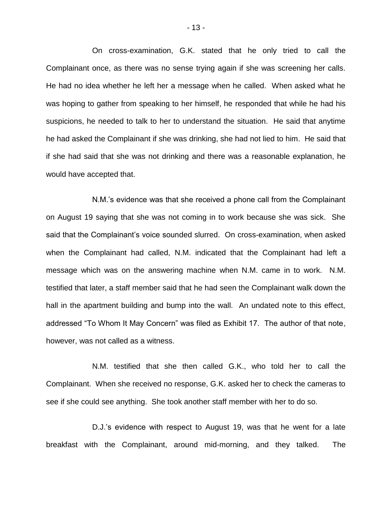On cross-examination, G.K. stated that he only tried to call the Complainant once, as there was no sense trying again if she was screening her calls. He had no idea whether he left her a message when he called. When asked what he was hoping to gather from speaking to her himself, he responded that while he had his suspicions, he needed to talk to her to understand the situation. He said that anytime he had asked the Complainant if she was drinking, she had not lied to him. He said that if she had said that she was not drinking and there was a reasonable explanation, he would have accepted that.

N.M."s evidence was that she received a phone call from the Complainant on August 19 saying that she was not coming in to work because she was sick. She said that the Complainant"s voice sounded slurred. On cross-examination, when asked when the Complainant had called, N.M. indicated that the Complainant had left a message which was on the answering machine when N.M. came in to work. N.M. testified that later, a staff member said that he had seen the Complainant walk down the hall in the apartment building and bump into the wall. An undated note to this effect, addressed "To Whom It May Concern" was filed as Exhibit 17. The author of that note, however, was not called as a witness.

N.M. testified that she then called G.K., who told her to call the Complainant. When she received no response, G.K. asked her to check the cameras to see if she could see anything. She took another staff member with her to do so.

D.J.'s evidence with respect to August 19, was that he went for a late breakfast with the Complainant, around mid-morning, and they talked. The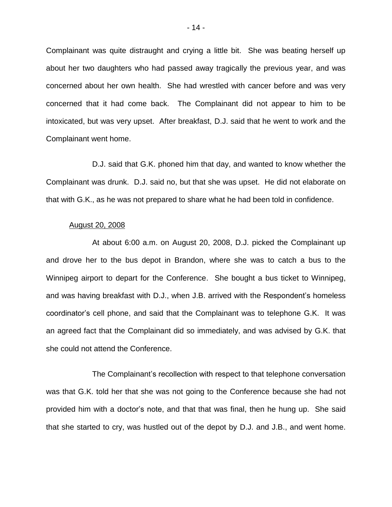Complainant was quite distraught and crying a little bit. She was beating herself up about her two daughters who had passed away tragically the previous year, and was concerned about her own health. She had wrestled with cancer before and was very concerned that it had come back. The Complainant did not appear to him to be intoxicated, but was very upset. After breakfast, D.J. said that he went to work and the Complainant went home.

D.J. said that G.K. phoned him that day, and wanted to know whether the Complainant was drunk. D.J. said no, but that she was upset. He did not elaborate on that with G.K., as he was not prepared to share what he had been told in confidence.

### August 20, 2008

At about 6:00 a.m. on August 20, 2008, D.J. picked the Complainant up and drove her to the bus depot in Brandon, where she was to catch a bus to the Winnipeg airport to depart for the Conference. She bought a bus ticket to Winnipeg, and was having breakfast with D.J., when J.B. arrived with the Respondent's homeless coordinator"s cell phone, and said that the Complainant was to telephone G.K. It was an agreed fact that the Complainant did so immediately, and was advised by G.K. that she could not attend the Conference.

The Complainant"s recollection with respect to that telephone conversation was that G.K. told her that she was not going to the Conference because she had not provided him with a doctor"s note, and that that was final, then he hung up. She said that she started to cry, was hustled out of the depot by D.J. and J.B., and went home.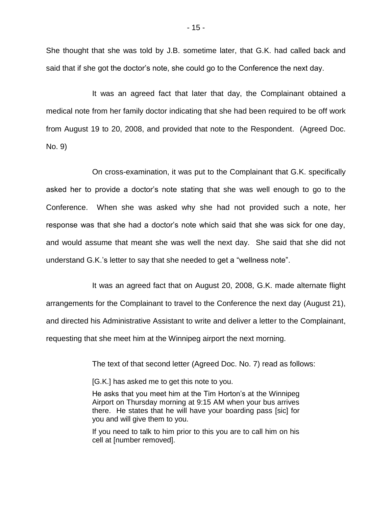She thought that she was told by J.B. sometime later, that G.K. had called back and said that if she got the doctor"s note, she could go to the Conference the next day.

It was an agreed fact that later that day, the Complainant obtained a medical note from her family doctor indicating that she had been required to be off work from August 19 to 20, 2008, and provided that note to the Respondent. (Agreed Doc. No. 9)

On cross-examination, it was put to the Complainant that G.K. specifically asked her to provide a doctor"s note stating that she was well enough to go to the Conference. When she was asked why she had not provided such a note, her response was that she had a doctor"s note which said that she was sick for one day, and would assume that meant she was well the next day. She said that she did not understand G.K."s letter to say that she needed to get a "wellness note".

It was an agreed fact that on August 20, 2008, G.K. made alternate flight arrangements for the Complainant to travel to the Conference the next day (August 21), and directed his Administrative Assistant to write and deliver a letter to the Complainant, requesting that she meet him at the Winnipeg airport the next morning.

The text of that second letter (Agreed Doc. No. 7) read as follows:

[G.K.] has asked me to get this note to you.

He asks that you meet him at the Tim Horton's at the Winnipeg Airport on Thursday morning at 9:15 AM when your bus arrives there. He states that he will have your boarding pass [sic] for you and will give them to you.

If you need to talk to him prior to this you are to call him on his cell at [number removed].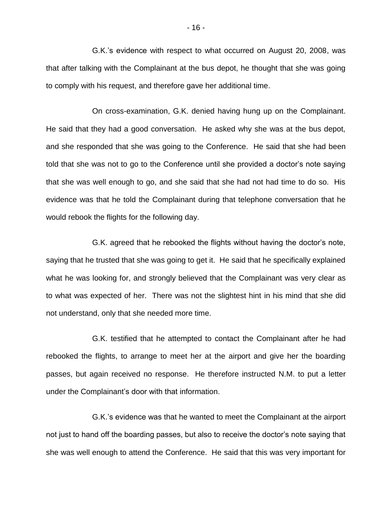G.K."s evidence with respect to what occurred on August 20, 2008, was that after talking with the Complainant at the bus depot, he thought that she was going to comply with his request, and therefore gave her additional time.

On cross-examination, G.K. denied having hung up on the Complainant. He said that they had a good conversation. He asked why she was at the bus depot, and she responded that she was going to the Conference. He said that she had been told that she was not to go to the Conference until she provided a doctor"s note saying that she was well enough to go, and she said that she had not had time to do so. His evidence was that he told the Complainant during that telephone conversation that he would rebook the flights for the following day.

G.K. agreed that he rebooked the flights without having the doctor"s note, saying that he trusted that she was going to get it. He said that he specifically explained what he was looking for, and strongly believed that the Complainant was very clear as to what was expected of her. There was not the slightest hint in his mind that she did not understand, only that she needed more time.

G.K. testified that he attempted to contact the Complainant after he had rebooked the flights, to arrange to meet her at the airport and give her the boarding passes, but again received no response. He therefore instructed N.M. to put a letter under the Complainant"s door with that information.

G.K."s evidence was that he wanted to meet the Complainant at the airport not just to hand off the boarding passes, but also to receive the doctor's note saying that she was well enough to attend the Conference. He said that this was very important for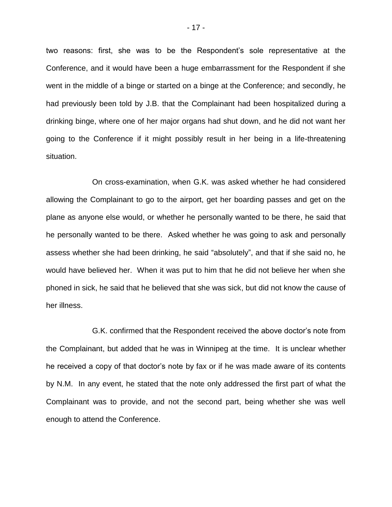two reasons: first, she was to be the Respondent"s sole representative at the Conference, and it would have been a huge embarrassment for the Respondent if she went in the middle of a binge or started on a binge at the Conference; and secondly, he had previously been told by J.B. that the Complainant had been hospitalized during a drinking binge, where one of her major organs had shut down, and he did not want her going to the Conference if it might possibly result in her being in a life-threatening situation.

On cross-examination, when G.K. was asked whether he had considered allowing the Complainant to go to the airport, get her boarding passes and get on the plane as anyone else would, or whether he personally wanted to be there, he said that he personally wanted to be there. Asked whether he was going to ask and personally assess whether she had been drinking, he said "absolutely", and that if she said no, he would have believed her. When it was put to him that he did not believe her when she phoned in sick, he said that he believed that she was sick, but did not know the cause of her illness.

G.K. confirmed that the Respondent received the above doctor"s note from the Complainant, but added that he was in Winnipeg at the time. It is unclear whether he received a copy of that doctor"s note by fax or if he was made aware of its contents by N.M. In any event, he stated that the note only addressed the first part of what the Complainant was to provide, and not the second part, being whether she was well enough to attend the Conference.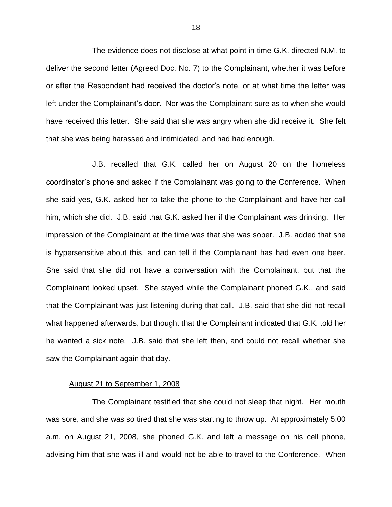The evidence does not disclose at what point in time G.K. directed N.M. to deliver the second letter (Agreed Doc. No. 7) to the Complainant, whether it was before or after the Respondent had received the doctor"s note, or at what time the letter was left under the Complainant"s door. Nor was the Complainant sure as to when she would have received this letter. She said that she was angry when she did receive it. She felt that she was being harassed and intimidated, and had had enough.

J.B. recalled that G.K. called her on August 20 on the homeless coordinator"s phone and asked if the Complainant was going to the Conference. When she said yes, G.K. asked her to take the phone to the Complainant and have her call him, which she did. J.B. said that G.K. asked her if the Complainant was drinking. Her impression of the Complainant at the time was that she was sober. J.B. added that she is hypersensitive about this, and can tell if the Complainant has had even one beer. She said that she did not have a conversation with the Complainant, but that the Complainant looked upset. She stayed while the Complainant phoned G.K., and said that the Complainant was just listening during that call. J.B. said that she did not recall what happened afterwards, but thought that the Complainant indicated that G.K. told her he wanted a sick note. J.B. said that she left then, and could not recall whether she saw the Complainant again that day.

### August 21 to September 1, 2008

The Complainant testified that she could not sleep that night. Her mouth was sore, and she was so tired that she was starting to throw up. At approximately 5:00 a.m. on August 21, 2008, she phoned G.K. and left a message on his cell phone, advising him that she was ill and would not be able to travel to the Conference. When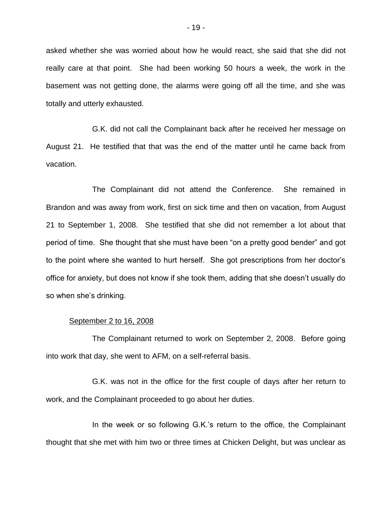asked whether she was worried about how he would react, she said that she did not really care at that point. She had been working 50 hours a week, the work in the basement was not getting done, the alarms were going off all the time, and she was totally and utterly exhausted.

G.K. did not call the Complainant back after he received her message on August 21. He testified that that was the end of the matter until he came back from vacation.

The Complainant did not attend the Conference. She remained in Brandon and was away from work, first on sick time and then on vacation, from August 21 to September 1, 2008. She testified that she did not remember a lot about that period of time. She thought that she must have been "on a pretty good bender" and got to the point where she wanted to hurt herself. She got prescriptions from her doctor's office for anxiety, but does not know if she took them, adding that she doesn"t usually do so when she's drinking.

#### September 2 to 16, 2008

The Complainant returned to work on September 2, 2008. Before going into work that day, she went to AFM, on a self-referral basis.

G.K. was not in the office for the first couple of days after her return to work, and the Complainant proceeded to go about her duties.

In the week or so following G.K."s return to the office, the Complainant thought that she met with him two or three times at Chicken Delight, but was unclear as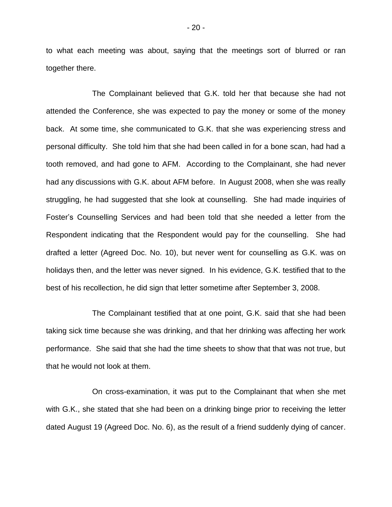to what each meeting was about, saying that the meetings sort of blurred or ran together there.

The Complainant believed that G.K. told her that because she had not attended the Conference, she was expected to pay the money or some of the money back. At some time, she communicated to G.K. that she was experiencing stress and personal difficulty. She told him that she had been called in for a bone scan, had had a tooth removed, and had gone to AFM. According to the Complainant, she had never had any discussions with G.K. about AFM before. In August 2008, when she was really struggling, he had suggested that she look at counselling. She had made inquiries of Foster"s Counselling Services and had been told that she needed a letter from the Respondent indicating that the Respondent would pay for the counselling. She had drafted a letter (Agreed Doc. No. 10), but never went for counselling as G.K. was on holidays then, and the letter was never signed. In his evidence, G.K. testified that to the best of his recollection, he did sign that letter sometime after September 3, 2008.

The Complainant testified that at one point, G.K. said that she had been taking sick time because she was drinking, and that her drinking was affecting her work performance. She said that she had the time sheets to show that that was not true, but that he would not look at them.

On cross-examination, it was put to the Complainant that when she met with G.K., she stated that she had been on a drinking binge prior to receiving the letter dated August 19 (Agreed Doc. No. 6), as the result of a friend suddenly dying of cancer.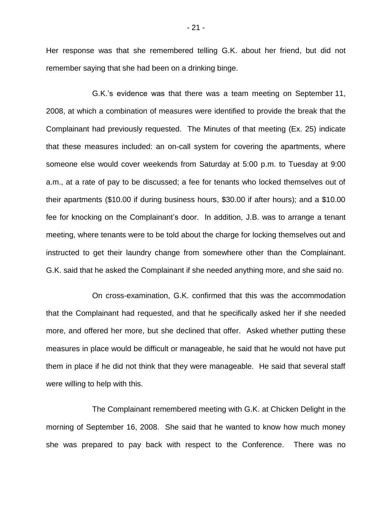Her response was that she remembered telling G.K. about her friend, but did not remember saying that she had been on a drinking binge.

G.K."s evidence was that there was a team meeting on September 11, 2008, at which a combination of measures were identified to provide the break that the Complainant had previously requested. The Minutes of that meeting (Ex. 25) indicate that these measures included: an on-call system for covering the apartments, where someone else would cover weekends from Saturday at 5:00 p.m. to Tuesday at 9:00 a.m., at a rate of pay to be discussed; a fee for tenants who locked themselves out of their apartments (\$10.00 if during business hours, \$30.00 if after hours); and a \$10.00 fee for knocking on the Complainant"s door. In addition, J.B. was to arrange a tenant meeting, where tenants were to be told about the charge for locking themselves out and instructed to get their laundry change from somewhere other than the Complainant. G.K. said that he asked the Complainant if she needed anything more, and she said no.

On cross-examination, G.K. confirmed that this was the accommodation that the Complainant had requested, and that he specifically asked her if she needed more, and offered her more, but she declined that offer. Asked whether putting these measures in place would be difficult or manageable, he said that he would not have put them in place if he did not think that they were manageable. He said that several staff were willing to help with this.

The Complainant remembered meeting with G.K. at Chicken Delight in the morning of September 16, 2008. She said that he wanted to know how much money she was prepared to pay back with respect to the Conference. There was no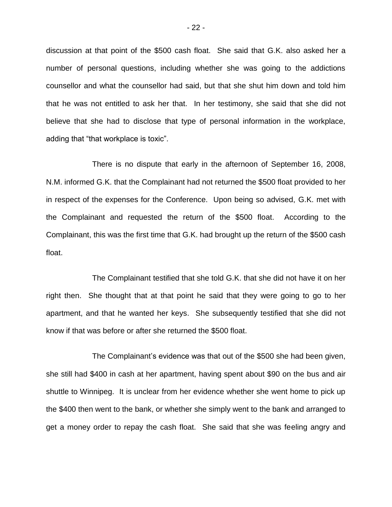discussion at that point of the \$500 cash float. She said that G.K. also asked her a number of personal questions, including whether she was going to the addictions counsellor and what the counsellor had said, but that she shut him down and told him that he was not entitled to ask her that. In her testimony, she said that she did not believe that she had to disclose that type of personal information in the workplace, adding that "that workplace is toxic".

There is no dispute that early in the afternoon of September 16, 2008, N.M. informed G.K. that the Complainant had not returned the \$500 float provided to her in respect of the expenses for the Conference. Upon being so advised, G.K. met with the Complainant and requested the return of the \$500 float. According to the Complainant, this was the first time that G.K. had brought up the return of the \$500 cash float.

The Complainant testified that she told G.K. that she did not have it on her right then. She thought that at that point he said that they were going to go to her apartment, and that he wanted her keys. She subsequently testified that she did not know if that was before or after she returned the \$500 float.

The Complainant"s evidence was that out of the \$500 she had been given, she still had \$400 in cash at her apartment, having spent about \$90 on the bus and air shuttle to Winnipeg. It is unclear from her evidence whether she went home to pick up the \$400 then went to the bank, or whether she simply went to the bank and arranged to get a money order to repay the cash float. She said that she was feeling angry and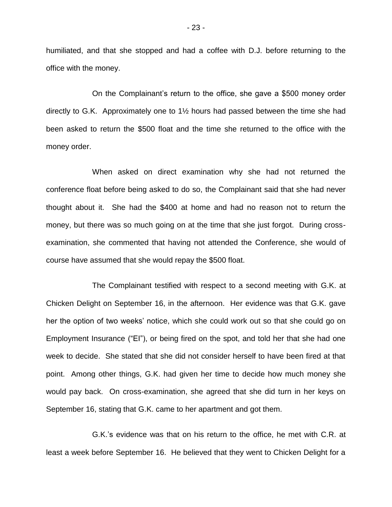humiliated, and that she stopped and had a coffee with D.J. before returning to the office with the money.

On the Complainant"s return to the office, she gave a \$500 money order directly to G.K. Approximately one to 1½ hours had passed between the time she had been asked to return the \$500 float and the time she returned to the office with the money order.

When asked on direct examination why she had not returned the conference float before being asked to do so, the Complainant said that she had never thought about it. She had the \$400 at home and had no reason not to return the money, but there was so much going on at the time that she just forgot. During crossexamination, she commented that having not attended the Conference, she would of course have assumed that she would repay the \$500 float.

The Complainant testified with respect to a second meeting with G.K. at Chicken Delight on September 16, in the afternoon. Her evidence was that G.K. gave her the option of two weeks" notice, which she could work out so that she could go on Employment Insurance ("EI"), or being fired on the spot, and told her that she had one week to decide. She stated that she did not consider herself to have been fired at that point. Among other things, G.K. had given her time to decide how much money she would pay back. On cross-examination, she agreed that she did turn in her keys on September 16, stating that G.K. came to her apartment and got them.

G.K."s evidence was that on his return to the office, he met with C.R. at least a week before September 16. He believed that they went to Chicken Delight for a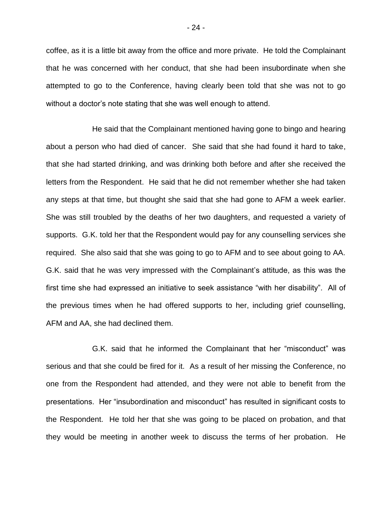coffee, as it is a little bit away from the office and more private. He told the Complainant that he was concerned with her conduct, that she had been insubordinate when she attempted to go to the Conference, having clearly been told that she was not to go without a doctor's note stating that she was well enough to attend.

He said that the Complainant mentioned having gone to bingo and hearing about a person who had died of cancer. She said that she had found it hard to take, that she had started drinking, and was drinking both before and after she received the letters from the Respondent. He said that he did not remember whether she had taken any steps at that time, but thought she said that she had gone to AFM a week earlier. She was still troubled by the deaths of her two daughters, and requested a variety of supports. G.K. told her that the Respondent would pay for any counselling services she required. She also said that she was going to go to AFM and to see about going to AA. G.K. said that he was very impressed with the Complainant"s attitude, as this was the first time she had expressed an initiative to seek assistance "with her disability". All of the previous times when he had offered supports to her, including grief counselling, AFM and AA, she had declined them.

G.K. said that he informed the Complainant that her "misconduct" was serious and that she could be fired for it. As a result of her missing the Conference, no one from the Respondent had attended, and they were not able to benefit from the presentations. Her "insubordination and misconduct" has resulted in significant costs to the Respondent. He told her that she was going to be placed on probation, and that they would be meeting in another week to discuss the terms of her probation. He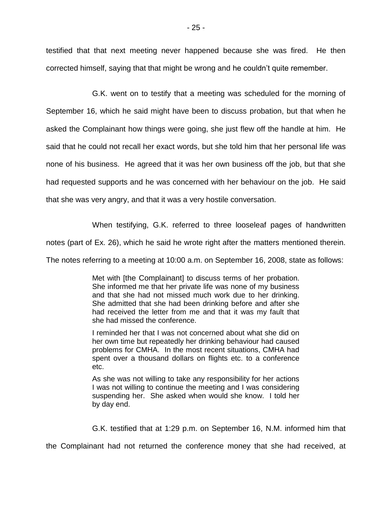testified that that next meeting never happened because she was fired. He then corrected himself, saying that that might be wrong and he couldn"t quite remember.

G.K. went on to testify that a meeting was scheduled for the morning of September 16, which he said might have been to discuss probation, but that when he asked the Complainant how things were going, she just flew off the handle at him. He said that he could not recall her exact words, but she told him that her personal life was none of his business. He agreed that it was her own business off the job, but that she had requested supports and he was concerned with her behaviour on the job. He said that she was very angry, and that it was a very hostile conversation.

When testifying, G.K. referred to three looseleaf pages of handwritten

notes (part of Ex. 26), which he said he wrote right after the matters mentioned therein.

The notes referring to a meeting at 10:00 a.m. on September 16, 2008, state as follows:

Met with [the Complainant] to discuss terms of her probation. She informed me that her private life was none of my business and that she had not missed much work due to her drinking. She admitted that she had been drinking before and after she had received the letter from me and that it was my fault that she had missed the conference.

I reminded her that I was not concerned about what she did on her own time but repeatedly her drinking behaviour had caused problems for CMHA. In the most recent situations, CMHA had spent over a thousand dollars on flights etc. to a conference etc.

As she was not willing to take any responsibility for her actions I was not willing to continue the meeting and I was considering suspending her. She asked when would she know. I told her by day end.

G.K. testified that at 1:29 p.m. on September 16, N.M. informed him that

the Complainant had not returned the conference money that she had received, at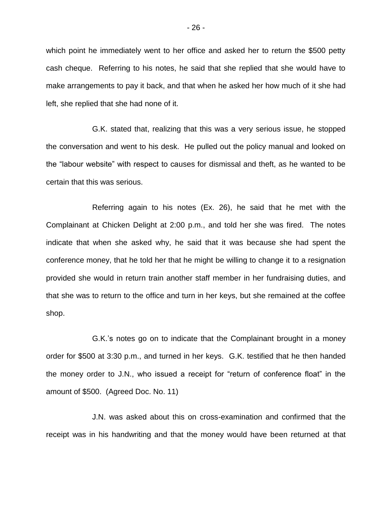which point he immediately went to her office and asked her to return the \$500 petty cash cheque. Referring to his notes, he said that she replied that she would have to make arrangements to pay it back, and that when he asked her how much of it she had left, she replied that she had none of it.

G.K. stated that, realizing that this was a very serious issue, he stopped the conversation and went to his desk. He pulled out the policy manual and looked on the "labour website" with respect to causes for dismissal and theft, as he wanted to be certain that this was serious.

Referring again to his notes (Ex. 26), he said that he met with the Complainant at Chicken Delight at 2:00 p.m., and told her she was fired. The notes indicate that when she asked why, he said that it was because she had spent the conference money, that he told her that he might be willing to change it to a resignation provided she would in return train another staff member in her fundraising duties, and that she was to return to the office and turn in her keys, but she remained at the coffee shop.

G.K."s notes go on to indicate that the Complainant brought in a money order for \$500 at 3:30 p.m., and turned in her keys. G.K. testified that he then handed the money order to J.N., who issued a receipt for "return of conference float" in the amount of \$500. (Agreed Doc. No. 11)

J.N. was asked about this on cross-examination and confirmed that the receipt was in his handwriting and that the money would have been returned at that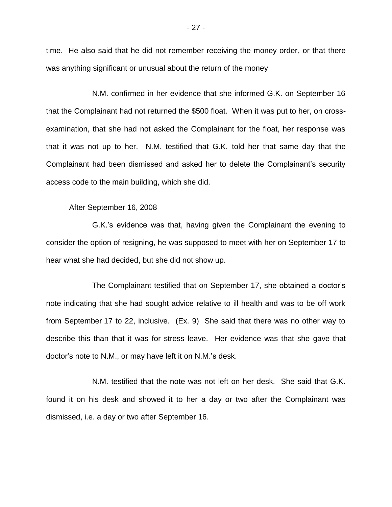time. He also said that he did not remember receiving the money order, or that there was anything significant or unusual about the return of the money

N.M. confirmed in her evidence that she informed G.K. on September 16 that the Complainant had not returned the \$500 float. When it was put to her, on crossexamination, that she had not asked the Complainant for the float, her response was that it was not up to her. N.M. testified that G.K. told her that same day that the Complainant had been dismissed and asked her to delete the Complainant"s security access code to the main building, which she did.

#### After September 16, 2008

G.K."s evidence was that, having given the Complainant the evening to consider the option of resigning, he was supposed to meet with her on September 17 to hear what she had decided, but she did not show up.

The Complainant testified that on September 17, she obtained a doctor"s note indicating that she had sought advice relative to ill health and was to be off work from September 17 to 22, inclusive. (Ex. 9) She said that there was no other way to describe this than that it was for stress leave. Her evidence was that she gave that doctor"s note to N.M., or may have left it on N.M."s desk.

N.M. testified that the note was not left on her desk. She said that G.K. found it on his desk and showed it to her a day or two after the Complainant was dismissed, i.e. a day or two after September 16.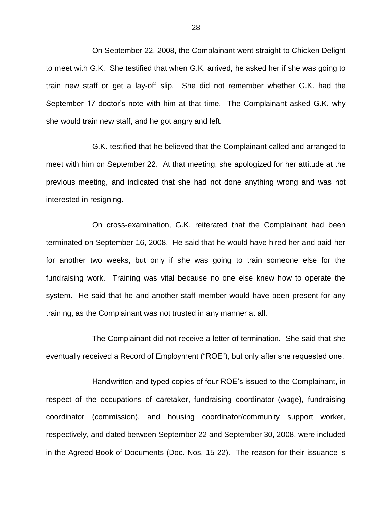On September 22, 2008, the Complainant went straight to Chicken Delight to meet with G.K. She testified that when G.K. arrived, he asked her if she was going to train new staff or get a lay-off slip. She did not remember whether G.K. had the September 17 doctor's note with him at that time. The Complainant asked G.K. why she would train new staff, and he got angry and left.

G.K. testified that he believed that the Complainant called and arranged to meet with him on September 22. At that meeting, she apologized for her attitude at the previous meeting, and indicated that she had not done anything wrong and was not interested in resigning.

On cross-examination, G.K. reiterated that the Complainant had been terminated on September 16, 2008. He said that he would have hired her and paid her for another two weeks, but only if she was going to train someone else for the fundraising work. Training was vital because no one else knew how to operate the system. He said that he and another staff member would have been present for any training, as the Complainant was not trusted in any manner at all.

The Complainant did not receive a letter of termination. She said that she eventually received a Record of Employment ("ROE"), but only after she requested one.

Handwritten and typed copies of four ROE"s issued to the Complainant, in respect of the occupations of caretaker, fundraising coordinator (wage), fundraising coordinator (commission), and housing coordinator/community support worker, respectively, and dated between September 22 and September 30, 2008, were included in the Agreed Book of Documents (Doc. Nos. 15-22). The reason for their issuance is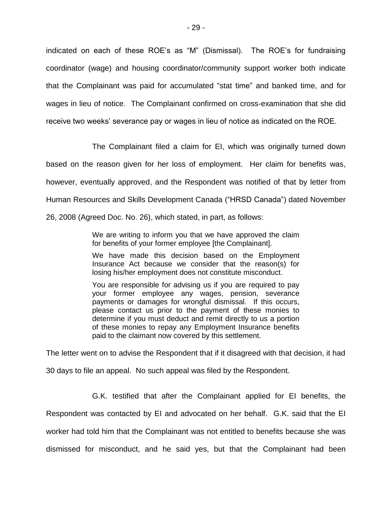indicated on each of these ROE's as "M" (Dismissal). The ROE's for fundraising coordinator (wage) and housing coordinator/community support worker both indicate that the Complainant was paid for accumulated "stat time" and banked time, and for wages in lieu of notice. The Complainant confirmed on cross-examination that she did receive two weeks" severance pay or wages in lieu of notice as indicated on the ROE.

The Complainant filed a claim for EI, which was originally turned down based on the reason given for her loss of employment. Her claim for benefits was, however, eventually approved, and the Respondent was notified of that by letter from Human Resources and Skills Development Canada ("HRSD Canada") dated November 26, 2008 (Agreed Doc. No. 26), which stated, in part, as follows:

> We are writing to inform you that we have approved the claim for benefits of your former employee [the Complainant].

> We have made this decision based on the Employment Insurance Act because we consider that the reason(s) for losing his/her employment does not constitute misconduct.

> You are responsible for advising us if you are required to pay your former employee any wages, pension, severance payments or damages for wrongful dismissal. If this occurs, please contact us prior to the payment of these monies to determine if you must deduct and remit directly to us a portion of these monies to repay any Employment Insurance benefits paid to the claimant now covered by this settlement.

The letter went on to advise the Respondent that if it disagreed with that decision, it had 30 days to file an appeal. No such appeal was filed by the Respondent.

G.K. testified that after the Complainant applied for EI benefits, the Respondent was contacted by EI and advocated on her behalf. G.K. said that the EI worker had told him that the Complainant was not entitled to benefits because she was dismissed for misconduct, and he said yes, but that the Complainant had been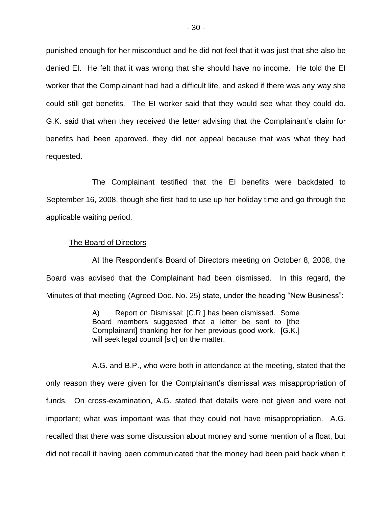punished enough for her misconduct and he did not feel that it was just that she also be denied EI. He felt that it was wrong that she should have no income. He told the EI worker that the Complainant had had a difficult life, and asked if there was any way she could still get benefits. The EI worker said that they would see what they could do. G.K. said that when they received the letter advising that the Complainant"s claim for benefits had been approved, they did not appeal because that was what they had requested.

The Complainant testified that the EI benefits were backdated to September 16, 2008, though she first had to use up her holiday time and go through the applicable waiting period.

### The Board of Directors

At the Respondent"s Board of Directors meeting on October 8, 2008, the Board was advised that the Complainant had been dismissed. In this regard, the Minutes of that meeting (Agreed Doc. No. 25) state, under the heading "New Business":

> A) Report on Dismissal: [C.R.] has been dismissed. Some Board members suggested that a letter be sent to [the Complainant] thanking her for her previous good work. [G.K.] will seek legal council [sic] on the matter.

A.G. and B.P., who were both in attendance at the meeting, stated that the only reason they were given for the Complainant"s dismissal was misappropriation of funds. On cross-examination, A.G. stated that details were not given and were not important; what was important was that they could not have misappropriation. A.G. recalled that there was some discussion about money and some mention of a float, but did not recall it having been communicated that the money had been paid back when it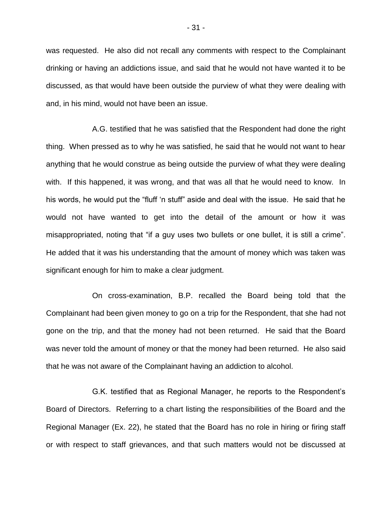was requested. He also did not recall any comments with respect to the Complainant drinking or having an addictions issue, and said that he would not have wanted it to be discussed, as that would have been outside the purview of what they were dealing with and, in his mind, would not have been an issue.

A.G. testified that he was satisfied that the Respondent had done the right thing. When pressed as to why he was satisfied, he said that he would not want to hear anything that he would construe as being outside the purview of what they were dealing with. If this happened, it was wrong, and that was all that he would need to know. In his words, he would put the "fluff "n stuff" aside and deal with the issue. He said that he would not have wanted to get into the detail of the amount or how it was misappropriated, noting that "if a guy uses two bullets or one bullet, it is still a crime". He added that it was his understanding that the amount of money which was taken was significant enough for him to make a clear judgment.

On cross-examination, B.P. recalled the Board being told that the Complainant had been given money to go on a trip for the Respondent, that she had not gone on the trip, and that the money had not been returned. He said that the Board was never told the amount of money or that the money had been returned. He also said that he was not aware of the Complainant having an addiction to alcohol.

G.K. testified that as Regional Manager, he reports to the Respondent"s Board of Directors. Referring to a chart listing the responsibilities of the Board and the Regional Manager (Ex. 22), he stated that the Board has no role in hiring or firing staff or with respect to staff grievances, and that such matters would not be discussed at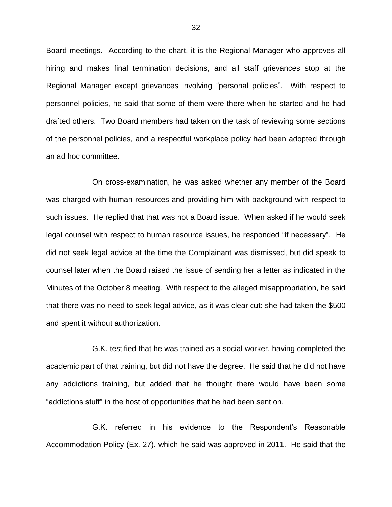Board meetings. According to the chart, it is the Regional Manager who approves all hiring and makes final termination decisions, and all staff grievances stop at the Regional Manager except grievances involving "personal policies". With respect to personnel policies, he said that some of them were there when he started and he had drafted others. Two Board members had taken on the task of reviewing some sections of the personnel policies, and a respectful workplace policy had been adopted through an ad hoc committee.

On cross-examination, he was asked whether any member of the Board was charged with human resources and providing him with background with respect to such issues. He replied that that was not a Board issue. When asked if he would seek legal counsel with respect to human resource issues, he responded "if necessary". He did not seek legal advice at the time the Complainant was dismissed, but did speak to counsel later when the Board raised the issue of sending her a letter as indicated in the Minutes of the October 8 meeting. With respect to the alleged misappropriation, he said that there was no need to seek legal advice, as it was clear cut: she had taken the \$500 and spent it without authorization.

G.K. testified that he was trained as a social worker, having completed the academic part of that training, but did not have the degree. He said that he did not have any addictions training, but added that he thought there would have been some "addictions stuff" in the host of opportunities that he had been sent on.

G.K. referred in his evidence to the Respondent"s Reasonable Accommodation Policy (Ex. 27), which he said was approved in 2011. He said that the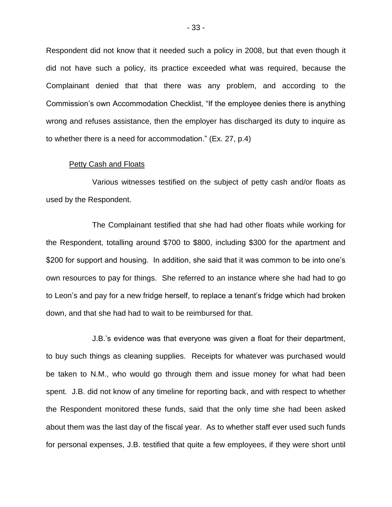Respondent did not know that it needed such a policy in 2008, but that even though it did not have such a policy, its practice exceeded what was required, because the Complainant denied that that there was any problem, and according to the Commission"s own Accommodation Checklist, "If the employee denies there is anything wrong and refuses assistance, then the employer has discharged its duty to inquire as to whether there is a need for accommodation." (Ex. 27, p.4)

### Petty Cash and Floats

Various witnesses testified on the subject of petty cash and/or floats as used by the Respondent.

The Complainant testified that she had had other floats while working for the Respondent, totalling around \$700 to \$800, including \$300 for the apartment and \$200 for support and housing. In addition, she said that it was common to be into one's own resources to pay for things. She referred to an instance where she had had to go to Leon"s and pay for a new fridge herself, to replace a tenant"s fridge which had broken down, and that she had had to wait to be reimbursed for that.

J.B."s evidence was that everyone was given a float for their department, to buy such things as cleaning supplies. Receipts for whatever was purchased would be taken to N.M., who would go through them and issue money for what had been spent. J.B. did not know of any timeline for reporting back, and with respect to whether the Respondent monitored these funds, said that the only time she had been asked about them was the last day of the fiscal year. As to whether staff ever used such funds for personal expenses, J.B. testified that quite a few employees, if they were short until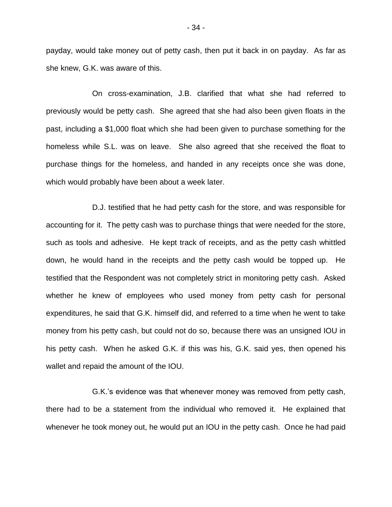payday, would take money out of petty cash, then put it back in on payday. As far as she knew, G.K. was aware of this.

On cross-examination, J.B. clarified that what she had referred to previously would be petty cash. She agreed that she had also been given floats in the past, including a \$1,000 float which she had been given to purchase something for the homeless while S.L. was on leave. She also agreed that she received the float to purchase things for the homeless, and handed in any receipts once she was done, which would probably have been about a week later.

D.J. testified that he had petty cash for the store, and was responsible for accounting for it. The petty cash was to purchase things that were needed for the store, such as tools and adhesive. He kept track of receipts, and as the petty cash whittled down, he would hand in the receipts and the petty cash would be topped up. He testified that the Respondent was not completely strict in monitoring petty cash. Asked whether he knew of employees who used money from petty cash for personal expenditures, he said that G.K. himself did, and referred to a time when he went to take money from his petty cash, but could not do so, because there was an unsigned IOU in his petty cash. When he asked G.K. if this was his, G.K. said yes, then opened his wallet and repaid the amount of the IOU.

G.K."s evidence was that whenever money was removed from petty cash, there had to be a statement from the individual who removed it. He explained that whenever he took money out, he would put an IOU in the petty cash. Once he had paid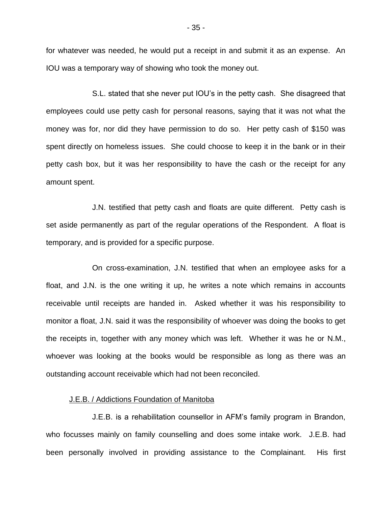for whatever was needed, he would put a receipt in and submit it as an expense. An IOU was a temporary way of showing who took the money out.

S.L. stated that she never put IOU"s in the petty cash. She disagreed that employees could use petty cash for personal reasons, saying that it was not what the money was for, nor did they have permission to do so. Her petty cash of \$150 was spent directly on homeless issues. She could choose to keep it in the bank or in their petty cash box, but it was her responsibility to have the cash or the receipt for any amount spent.

J.N. testified that petty cash and floats are quite different. Petty cash is set aside permanently as part of the regular operations of the Respondent. A float is temporary, and is provided for a specific purpose.

On cross-examination, J.N. testified that when an employee asks for a float, and J.N. is the one writing it up, he writes a note which remains in accounts receivable until receipts are handed in. Asked whether it was his responsibility to monitor a float, J.N. said it was the responsibility of whoever was doing the books to get the receipts in, together with any money which was left. Whether it was he or N.M., whoever was looking at the books would be responsible as long as there was an outstanding account receivable which had not been reconciled.

### J.E.B. / Addictions Foundation of Manitoba

J.E.B. is a rehabilitation counsellor in AFM"s family program in Brandon, who focusses mainly on family counselling and does some intake work. J.E.B. had been personally involved in providing assistance to the Complainant. His first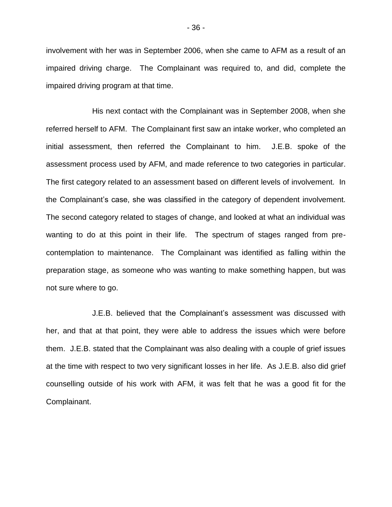involvement with her was in September 2006, when she came to AFM as a result of an impaired driving charge. The Complainant was required to, and did, complete the impaired driving program at that time.

His next contact with the Complainant was in September 2008, when she referred herself to AFM. The Complainant first saw an intake worker, who completed an initial assessment, then referred the Complainant to him. J.E.B. spoke of the assessment process used by AFM, and made reference to two categories in particular. The first category related to an assessment based on different levels of involvement. In the Complainant"s case, she was classified in the category of dependent involvement. The second category related to stages of change, and looked at what an individual was wanting to do at this point in their life. The spectrum of stages ranged from precontemplation to maintenance. The Complainant was identified as falling within the preparation stage, as someone who was wanting to make something happen, but was not sure where to go.

J.E.B. believed that the Complainant"s assessment was discussed with her, and that at that point, they were able to address the issues which were before them. J.E.B. stated that the Complainant was also dealing with a couple of grief issues at the time with respect to two very significant losses in her life. As J.E.B. also did grief counselling outside of his work with AFM, it was felt that he was a good fit for the Complainant.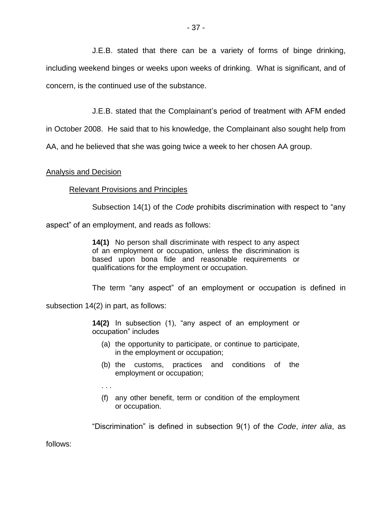J.E.B. stated that there can be a variety of forms of binge drinking, including weekend binges or weeks upon weeks of drinking. What is significant, and of concern, is the continued use of the substance.

J.E.B. stated that the Complainant"s period of treatment with AFM ended

in October 2008. He said that to his knowledge, the Complainant also sought help from

AA, and he believed that she was going twice a week to her chosen AA group.

# Analysis and Decision

# Relevant Provisions and Principles

Subsection 14(1) of the *Code* prohibits discrimination with respect to "any

aspect" of an employment, and reads as follows:

**14(1)** No person shall discriminate with respect to any aspect of an employment or occupation, unless the discrimination is based upon bona fide and reasonable requirements or qualifications for the employment or occupation.

The term "any aspect" of an employment or occupation is defined in

subsection 14(2) in part, as follows:

**14(2)** In subsection (1), "any aspect of an employment or occupation" includes

- (a) the opportunity to participate, or continue to participate, in the employment or occupation;
- (b) the customs, practices and conditions of the employment or occupation;
- . . .
- (f) any other benefit, term or condition of the employment or occupation.

"Discrimination" is defined in subsection 9(1) of the *Code*, *inter alia*, as

follows: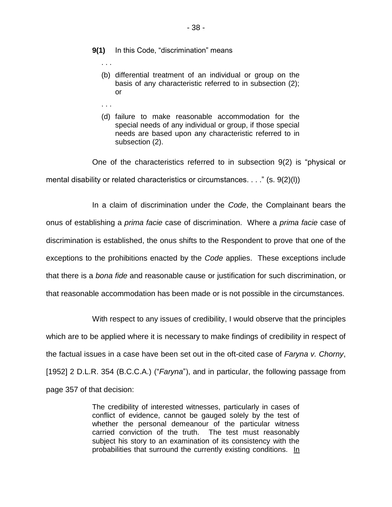- **9(1)** In this Code, "discrimination" means
	- . . .
	- (b) differential treatment of an individual or group on the basis of any characteristic referred to in subsection (2); or
	- . . .
	- (d) failure to make reasonable accommodation for the special needs of any individual or group, if those special needs are based upon any characteristic referred to in subsection (2).

One of the characteristics referred to in subsection 9(2) is "physical or mental disability or related characteristics or circumstances. . . ." (s. 9(2)(l))

In a claim of discrimination under the *Code*, the Complainant bears the onus of establishing a *prima facie* case of discrimination. Where a *prima facie* case of discrimination is established, the onus shifts to the Respondent to prove that one of the exceptions to the prohibitions enacted by the *Code* applies. These exceptions include that there is a *bona fide* and reasonable cause or justification for such discrimination, or that reasonable accommodation has been made or is not possible in the circumstances.

With respect to any issues of credibility, I would observe that the principles which are to be applied where it is necessary to make findings of credibility in respect of the factual issues in a case have been set out in the oft-cited case of *Faryna v. Chorny*, [1952] 2 D.L.R. 354 (B.C.C.A.) ("*Faryna*"), and in particular, the following passage from page 357 of that decision:

> The credibility of interested witnesses, particularly in cases of conflict of evidence, cannot be gauged solely by the test of whether the personal demeanour of the particular witness carried conviction of the truth. The test must reasonably subject his story to an examination of its consistency with the probabilities that surround the currently existing conditions. In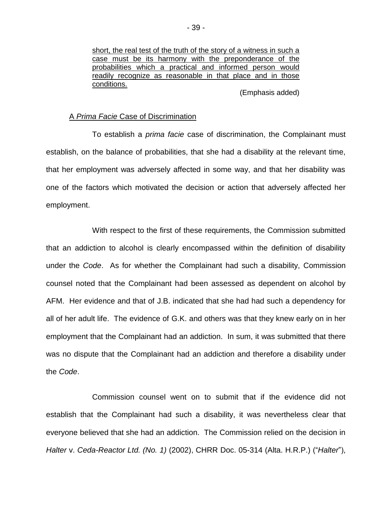short, the real test of the truth of the story of a witness in such a case must be its harmony with the preponderance of the probabilities which a practical and informed person would readily recognize as reasonable in that place and in those conditions.

(Emphasis added)

#### A *Prima Facie* Case of Discrimination

To establish a *prima facie* case of discrimination, the Complainant must establish, on the balance of probabilities, that she had a disability at the relevant time, that her employment was adversely affected in some way, and that her disability was one of the factors which motivated the decision or action that adversely affected her employment.

With respect to the first of these requirements, the Commission submitted that an addiction to alcohol is clearly encompassed within the definition of disability under the *Code*. As for whether the Complainant had such a disability, Commission counsel noted that the Complainant had been assessed as dependent on alcohol by AFM. Her evidence and that of J.B. indicated that she had had such a dependency for all of her adult life. The evidence of G.K. and others was that they knew early on in her employment that the Complainant had an addiction. In sum, it was submitted that there was no dispute that the Complainant had an addiction and therefore a disability under the *Code*.

Commission counsel went on to submit that if the evidence did not establish that the Complainant had such a disability, it was nevertheless clear that everyone believed that she had an addiction. The Commission relied on the decision in *Halter* v. *Ceda-Reactor Ltd. (No. 1)* (2002), CHRR Doc. 05-314 (Alta. H.R.P.) ("*Halter*"),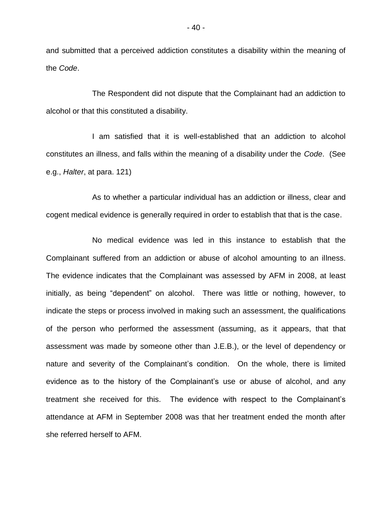and submitted that a perceived addiction constitutes a disability within the meaning of the *Code*.

The Respondent did not dispute that the Complainant had an addiction to alcohol or that this constituted a disability.

I am satisfied that it is well-established that an addiction to alcohol constitutes an illness, and falls within the meaning of a disability under the *Code*. (See e.g., *Halter*, at para. 121)

As to whether a particular individual has an addiction or illness, clear and cogent medical evidence is generally required in order to establish that that is the case.

No medical evidence was led in this instance to establish that the Complainant suffered from an addiction or abuse of alcohol amounting to an illness. The evidence indicates that the Complainant was assessed by AFM in 2008, at least initially, as being "dependent" on alcohol. There was little or nothing, however, to indicate the steps or process involved in making such an assessment, the qualifications of the person who performed the assessment (assuming, as it appears, that that assessment was made by someone other than J.E.B.), or the level of dependency or nature and severity of the Complainant's condition. On the whole, there is limited evidence as to the history of the Complainant"s use or abuse of alcohol, and any treatment she received for this. The evidence with respect to the Complainant"s attendance at AFM in September 2008 was that her treatment ended the month after she referred herself to AFM.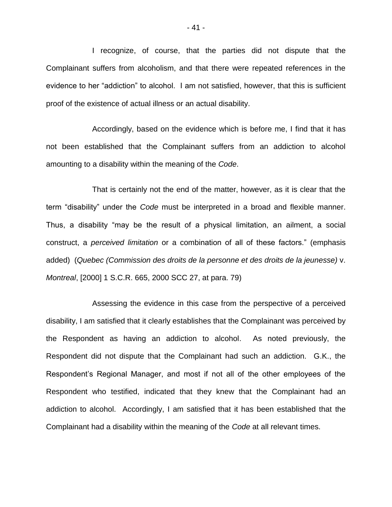I recognize, of course, that the parties did not dispute that the Complainant suffers from alcoholism, and that there were repeated references in the evidence to her "addiction" to alcohol. I am not satisfied, however, that this is sufficient proof of the existence of actual illness or an actual disability.

Accordingly, based on the evidence which is before me, I find that it has not been established that the Complainant suffers from an addiction to alcohol amounting to a disability within the meaning of the *Code*.

That is certainly not the end of the matter, however, as it is clear that the term "disability" under the *Code* must be interpreted in a broad and flexible manner. Thus, a disability "may be the result of a physical limitation, an ailment, a social construct, a *perceived limitation* or a combination of all of these factors." (emphasis added) (*Quebec (Commission des droits de la personne et des droits de la jeunesse)* v. *Montreal*, [2000] 1 S.C.R. 665, 2000 SCC 27, at para. 79)

Assessing the evidence in this case from the perspective of a perceived disability, I am satisfied that it clearly establishes that the Complainant was perceived by the Respondent as having an addiction to alcohol. As noted previously, the Respondent did not dispute that the Complainant had such an addiction. G.K., the Respondent"s Regional Manager, and most if not all of the other employees of the Respondent who testified, indicated that they knew that the Complainant had an addiction to alcohol. Accordingly, I am satisfied that it has been established that the Complainant had a disability within the meaning of the *Code* at all relevant times.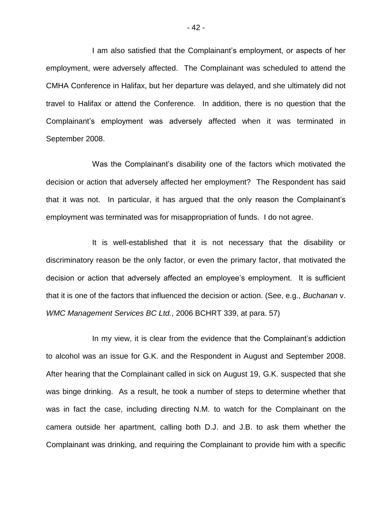I am also satisfied that the Complainant"s employment, or aspects of her employment, were adversely affected. The Complainant was scheduled to attend the CMHA Conference in Halifax, but her departure was delayed, and she ultimately did not travel to Halifax or attend the Conference. In addition, there is no question that the Complainant"s employment was adversely affected when it was terminated in September 2008.

Was the Complainant's disability one of the factors which motivated the decision or action that adversely affected her employment? The Respondent has said that it was not. In particular, it has argued that the only reason the Complainant"s employment was terminated was for misappropriation of funds. I do not agree.

It is well-established that it is not necessary that the disability or discriminatory reason be the only factor, or even the primary factor, that motivated the decision or action that adversely affected an employee"s employment. It is sufficient that it is one of the factors that influenced the decision or action. (See, e.g., *Buchanan* v. *WMC Management Services BC Ltd.*, 2006 BCHRT 339, at para. 57)

In my view, it is clear from the evidence that the Complainant's addiction to alcohol was an issue for G.K. and the Respondent in August and September 2008. After hearing that the Complainant called in sick on August 19, G.K. suspected that she was binge drinking. As a result, he took a number of steps to determine whether that was in fact the case, including directing N.M. to watch for the Complainant on the camera outside her apartment, calling both D.J. and J.B. to ask them whether the Complainant was drinking, and requiring the Complainant to provide him with a specific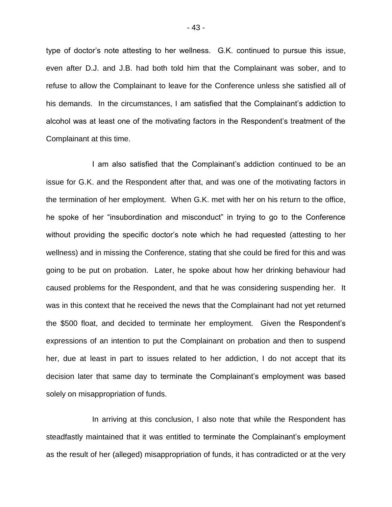type of doctor's note attesting to her wellness. G.K. continued to pursue this issue, even after D.J. and J.B. had both told him that the Complainant was sober, and to refuse to allow the Complainant to leave for the Conference unless she satisfied all of his demands. In the circumstances, I am satisfied that the Complainant"s addiction to alcohol was at least one of the motivating factors in the Respondent"s treatment of the Complainant at this time.

I am also satisfied that the Complainant"s addiction continued to be an issue for G.K. and the Respondent after that, and was one of the motivating factors in the termination of her employment. When G.K. met with her on his return to the office, he spoke of her "insubordination and misconduct" in trying to go to the Conference without providing the specific doctor"s note which he had requested (attesting to her wellness) and in missing the Conference, stating that she could be fired for this and was going to be put on probation. Later, he spoke about how her drinking behaviour had caused problems for the Respondent, and that he was considering suspending her. It was in this context that he received the news that the Complainant had not yet returned the \$500 float, and decided to terminate her employment. Given the Respondent"s expressions of an intention to put the Complainant on probation and then to suspend her, due at least in part to issues related to her addiction, I do not accept that its decision later that same day to terminate the Complainant"s employment was based solely on misappropriation of funds.

In arriving at this conclusion, I also note that while the Respondent has steadfastly maintained that it was entitled to terminate the Complainant's employment as the result of her (alleged) misappropriation of funds, it has contradicted or at the very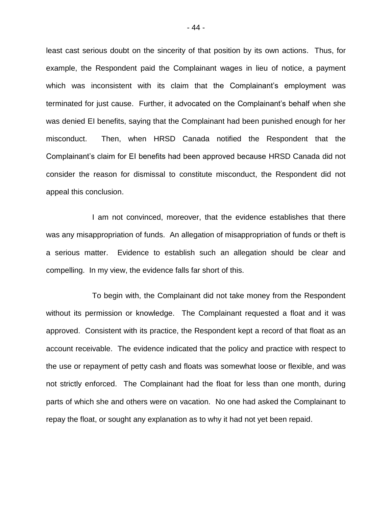least cast serious doubt on the sincerity of that position by its own actions. Thus, for example, the Respondent paid the Complainant wages in lieu of notice, a payment which was inconsistent with its claim that the Complainant's employment was terminated for just cause. Further, it advocated on the Complainant"s behalf when she was denied EI benefits, saying that the Complainant had been punished enough for her misconduct. Then, when HRSD Canada notified the Respondent that the Complainant"s claim for EI benefits had been approved because HRSD Canada did not consider the reason for dismissal to constitute misconduct, the Respondent did not appeal this conclusion.

I am not convinced, moreover, that the evidence establishes that there was any misappropriation of funds. An allegation of misappropriation of funds or theft is a serious matter. Evidence to establish such an allegation should be clear and compelling. In my view, the evidence falls far short of this.

To begin with, the Complainant did not take money from the Respondent without its permission or knowledge. The Complainant requested a float and it was approved. Consistent with its practice, the Respondent kept a record of that float as an account receivable. The evidence indicated that the policy and practice with respect to the use or repayment of petty cash and floats was somewhat loose or flexible, and was not strictly enforced. The Complainant had the float for less than one month, during parts of which she and others were on vacation. No one had asked the Complainant to repay the float, or sought any explanation as to why it had not yet been repaid.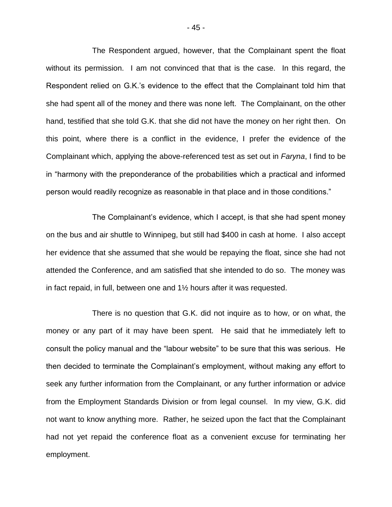The Respondent argued, however, that the Complainant spent the float without its permission. I am not convinced that that is the case. In this regard, the Respondent relied on G.K."s evidence to the effect that the Complainant told him that she had spent all of the money and there was none left. The Complainant, on the other hand, testified that she told G.K. that she did not have the money on her right then. On this point, where there is a conflict in the evidence, I prefer the evidence of the Complainant which, applying the above-referenced test as set out in *Faryna*, I find to be in "harmony with the preponderance of the probabilities which a practical and informed person would readily recognize as reasonable in that place and in those conditions."

The Complainant"s evidence, which I accept, is that she had spent money on the bus and air shuttle to Winnipeg, but still had \$400 in cash at home. I also accept her evidence that she assumed that she would be repaying the float, since she had not attended the Conference, and am satisfied that she intended to do so. The money was in fact repaid, in full, between one and 1½ hours after it was requested.

There is no question that G.K. did not inquire as to how, or on what, the money or any part of it may have been spent. He said that he immediately left to consult the policy manual and the "labour website" to be sure that this was serious. He then decided to terminate the Complainant"s employment, without making any effort to seek any further information from the Complainant, or any further information or advice from the Employment Standards Division or from legal counsel. In my view, G.K. did not want to know anything more. Rather, he seized upon the fact that the Complainant had not yet repaid the conference float as a convenient excuse for terminating her employment.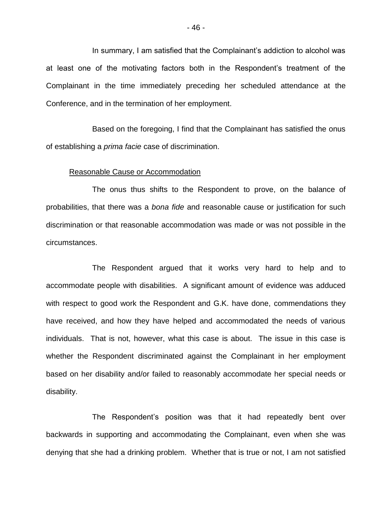In summary, I am satisfied that the Complainant"s addiction to alcohol was at least one of the motivating factors both in the Respondent"s treatment of the Complainant in the time immediately preceding her scheduled attendance at the Conference, and in the termination of her employment.

Based on the foregoing, I find that the Complainant has satisfied the onus of establishing a *prima facie* case of discrimination.

### Reasonable Cause or Accommodation

The onus thus shifts to the Respondent to prove, on the balance of probabilities, that there was a *bona fide* and reasonable cause or justification for such discrimination or that reasonable accommodation was made or was not possible in the circumstances.

The Respondent argued that it works very hard to help and to accommodate people with disabilities. A significant amount of evidence was adduced with respect to good work the Respondent and G.K. have done, commendations they have received, and how they have helped and accommodated the needs of various individuals. That is not, however, what this case is about. The issue in this case is whether the Respondent discriminated against the Complainant in her employment based on her disability and/or failed to reasonably accommodate her special needs or disability.

The Respondent"s position was that it had repeatedly bent over backwards in supporting and accommodating the Complainant, even when she was denying that she had a drinking problem. Whether that is true or not, I am not satisfied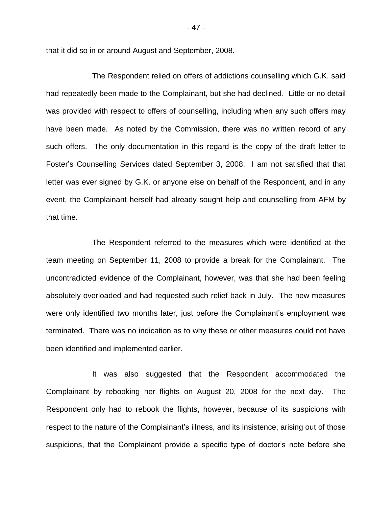that it did so in or around August and September, 2008.

The Respondent relied on offers of addictions counselling which G.K. said had repeatedly been made to the Complainant, but she had declined. Little or no detail was provided with respect to offers of counselling, including when any such offers may have been made. As noted by the Commission, there was no written record of any such offers. The only documentation in this regard is the copy of the draft letter to Foster"s Counselling Services dated September 3, 2008. I am not satisfied that that letter was ever signed by G.K. or anyone else on behalf of the Respondent, and in any event, the Complainant herself had already sought help and counselling from AFM by that time.

The Respondent referred to the measures which were identified at the team meeting on September 11, 2008 to provide a break for the Complainant. The uncontradicted evidence of the Complainant, however, was that she had been feeling absolutely overloaded and had requested such relief back in July. The new measures were only identified two months later, just before the Complainant's employment was terminated. There was no indication as to why these or other measures could not have been identified and implemented earlier.

It was also suggested that the Respondent accommodated the Complainant by rebooking her flights on August 20, 2008 for the next day. The Respondent only had to rebook the flights, however, because of its suspicions with respect to the nature of the Complainant's illness, and its insistence, arising out of those suspicions, that the Complainant provide a specific type of doctor's note before she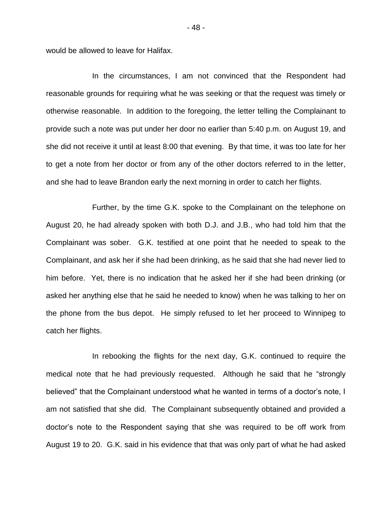would be allowed to leave for Halifax.

In the circumstances, I am not convinced that the Respondent had reasonable grounds for requiring what he was seeking or that the request was timely or otherwise reasonable. In addition to the foregoing, the letter telling the Complainant to provide such a note was put under her door no earlier than 5:40 p.m. on August 19, and she did not receive it until at least 8:00 that evening. By that time, it was too late for her to get a note from her doctor or from any of the other doctors referred to in the letter, and she had to leave Brandon early the next morning in order to catch her flights.

Further, by the time G.K. spoke to the Complainant on the telephone on August 20, he had already spoken with both D.J. and J.B., who had told him that the Complainant was sober. G.K. testified at one point that he needed to speak to the Complainant, and ask her if she had been drinking, as he said that she had never lied to him before. Yet, there is no indication that he asked her if she had been drinking (or asked her anything else that he said he needed to know) when he was talking to her on the phone from the bus depot. He simply refused to let her proceed to Winnipeg to catch her flights.

In rebooking the flights for the next day, G.K. continued to require the medical note that he had previously requested. Although he said that he "strongly believed" that the Complainant understood what he wanted in terms of a doctor's note, I am not satisfied that she did. The Complainant subsequently obtained and provided a doctor"s note to the Respondent saying that she was required to be off work from August 19 to 20. G.K. said in his evidence that that was only part of what he had asked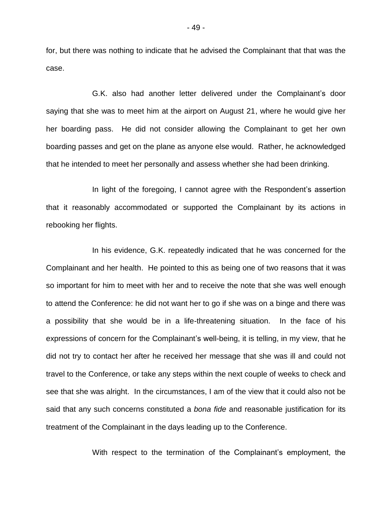for, but there was nothing to indicate that he advised the Complainant that that was the case.

G.K. also had another letter delivered under the Complainant"s door saying that she was to meet him at the airport on August 21, where he would give her her boarding pass. He did not consider allowing the Complainant to get her own boarding passes and get on the plane as anyone else would. Rather, he acknowledged that he intended to meet her personally and assess whether she had been drinking.

In light of the foregoing, I cannot agree with the Respondent's assertion that it reasonably accommodated or supported the Complainant by its actions in rebooking her flights.

In his evidence, G.K. repeatedly indicated that he was concerned for the Complainant and her health. He pointed to this as being one of two reasons that it was so important for him to meet with her and to receive the note that she was well enough to attend the Conference: he did not want her to go if she was on a binge and there was a possibility that she would be in a life-threatening situation. In the face of his expressions of concern for the Complainant's well-being, it is telling, in my view, that he did not try to contact her after he received her message that she was ill and could not travel to the Conference, or take any steps within the next couple of weeks to check and see that she was alright. In the circumstances, I am of the view that it could also not be said that any such concerns constituted a *bona fide* and reasonable justification for its treatment of the Complainant in the days leading up to the Conference.

With respect to the termination of the Complainant's employment, the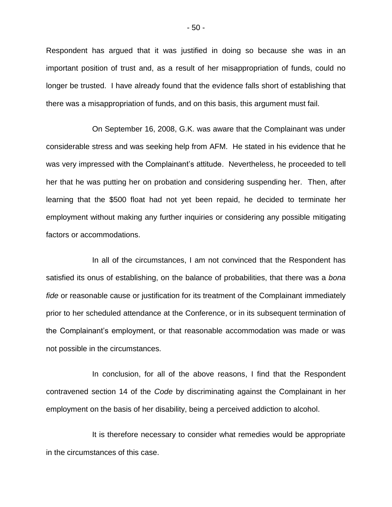Respondent has argued that it was justified in doing so because she was in an important position of trust and, as a result of her misappropriation of funds, could no longer be trusted. I have already found that the evidence falls short of establishing that there was a misappropriation of funds, and on this basis, this argument must fail.

On September 16, 2008, G.K. was aware that the Complainant was under considerable stress and was seeking help from AFM. He stated in his evidence that he was very impressed with the Complainant"s attitude. Nevertheless, he proceeded to tell her that he was putting her on probation and considering suspending her. Then, after learning that the \$500 float had not yet been repaid, he decided to terminate her employment without making any further inquiries or considering any possible mitigating factors or accommodations.

In all of the circumstances, I am not convinced that the Respondent has satisfied its onus of establishing, on the balance of probabilities, that there was a *bona fide* or reasonable cause or justification for its treatment of the Complainant immediately prior to her scheduled attendance at the Conference, or in its subsequent termination of the Complainant's employment, or that reasonable accommodation was made or was not possible in the circumstances.

In conclusion, for all of the above reasons, I find that the Respondent contravened section 14 of the *Code* by discriminating against the Complainant in her employment on the basis of her disability, being a perceived addiction to alcohol.

It is therefore necessary to consider what remedies would be appropriate in the circumstances of this case.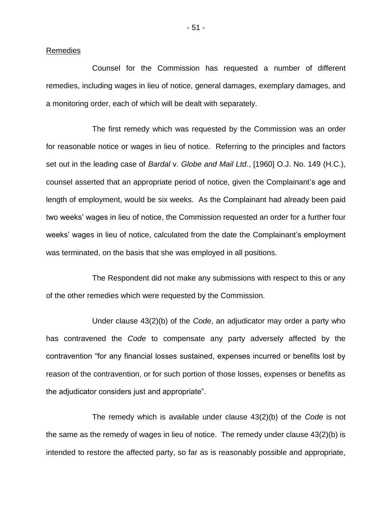### Remedies

Counsel for the Commission has requested a number of different remedies, including wages in lieu of notice, general damages, exemplary damages, and a monitoring order, each of which will be dealt with separately.

The first remedy which was requested by the Commission was an order for reasonable notice or wages in lieu of notice. Referring to the principles and factors set out in the leading case of *Bardal* v. *Globe and Mail Ltd.*, [1960] O.J. No. 149 (H.C.), counsel asserted that an appropriate period of notice, given the Complainant"s age and length of employment, would be six weeks. As the Complainant had already been paid two weeks' wages in lieu of notice, the Commission requested an order for a further four weeks' wages in lieu of notice, calculated from the date the Complainant's employment was terminated, on the basis that she was employed in all positions.

The Respondent did not make any submissions with respect to this or any of the other remedies which were requested by the Commission.

Under clause 43(2)(b) of the *Code*, an adjudicator may order a party who has contravened the *Code* to compensate any party adversely affected by the contravention "for any financial losses sustained, expenses incurred or benefits lost by reason of the contravention, or for such portion of those losses, expenses or benefits as the adjudicator considers just and appropriate".

The remedy which is available under clause 43(2)(b) of the *Code* is not the same as the remedy of wages in lieu of notice. The remedy under clause 43(2)(b) is intended to restore the affected party, so far as is reasonably possible and appropriate,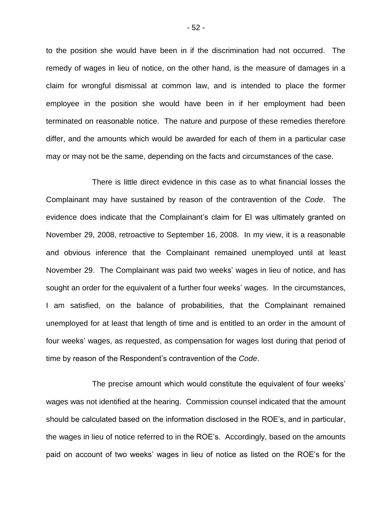to the position she would have been in if the discrimination had not occurred. The remedy of wages in lieu of notice, on the other hand, is the measure of damages in a claim for wrongful dismissal at common law, and is intended to place the former employee in the position she would have been in if her employment had been terminated on reasonable notice. The nature and purpose of these remedies therefore differ, and the amounts which would be awarded for each of them in a particular case may or may not be the same, depending on the facts and circumstances of the case.

There is little direct evidence in this case as to what financial losses the Complainant may have sustained by reason of the contravention of the *Code*. The evidence does indicate that the Complainant's claim for EI was ultimately granted on November 29, 2008, retroactive to September 16, 2008. In my view, it is a reasonable and obvious inference that the Complainant remained unemployed until at least November 29. The Complainant was paid two weeks" wages in lieu of notice, and has sought an order for the equivalent of a further four weeks' wages. In the circumstances, I am satisfied, on the balance of probabilities, that the Complainant remained unemployed for at least that length of time and is entitled to an order in the amount of four weeks' wages, as requested, as compensation for wages lost during that period of time by reason of the Respondent"s contravention of the *Code*.

The precise amount which would constitute the equivalent of four weeks" wages was not identified at the hearing. Commission counsel indicated that the amount should be calculated based on the information disclosed in the ROE"s, and in particular, the wages in lieu of notice referred to in the ROE"s. Accordingly, based on the amounts paid on account of two weeks" wages in lieu of notice as listed on the ROE"s for the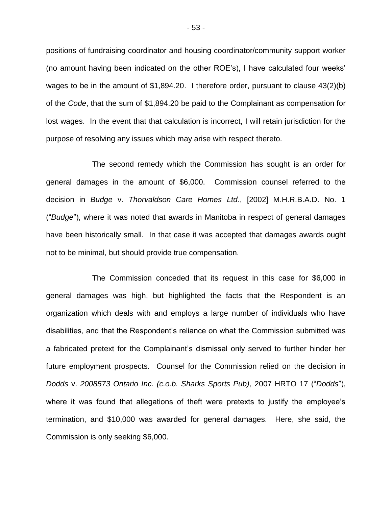positions of fundraising coordinator and housing coordinator/community support worker (no amount having been indicated on the other ROE"s), I have calculated four weeks" wages to be in the amount of \$1,894.20. I therefore order, pursuant to clause 43(2)(b) of the *Code*, that the sum of \$1,894.20 be paid to the Complainant as compensation for lost wages. In the event that that calculation is incorrect, I will retain jurisdiction for the purpose of resolving any issues which may arise with respect thereto.

The second remedy which the Commission has sought is an order for general damages in the amount of \$6,000. Commission counsel referred to the decision in *Budge* v. *Thorvaldson Care Homes Ltd.*, [2002] M.H.R.B.A.D. No. 1 ("*Budge*"), where it was noted that awards in Manitoba in respect of general damages have been historically small. In that case it was accepted that damages awards ought not to be minimal, but should provide true compensation.

The Commission conceded that its request in this case for \$6,000 in general damages was high, but highlighted the facts that the Respondent is an organization which deals with and employs a large number of individuals who have disabilities, and that the Respondent"s reliance on what the Commission submitted was a fabricated pretext for the Complainant"s dismissal only served to further hinder her future employment prospects. Counsel for the Commission relied on the decision in *Dodds* v. *2008573 Ontario Inc. (c.o.b. Sharks Sports Pub)*, 2007 HRTO 17 ("*Dodds*"), where it was found that allegations of theft were pretexts to justify the employee's termination, and \$10,000 was awarded for general damages. Here, she said, the Commission is only seeking \$6,000.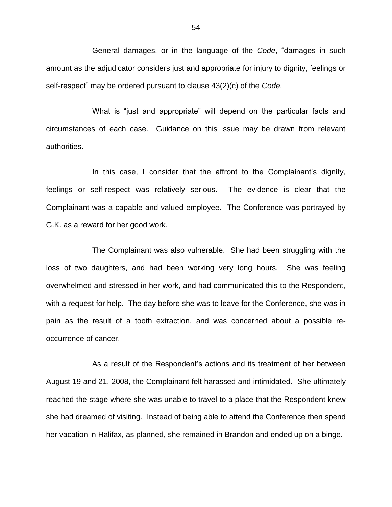General damages, or in the language of the *Code*, "damages in such amount as the adjudicator considers just and appropriate for injury to dignity, feelings or self-respect" may be ordered pursuant to clause 43(2)(c) of the *Code*.

What is "just and appropriate" will depend on the particular facts and circumstances of each case. Guidance on this issue may be drawn from relevant authorities.

In this case, I consider that the affront to the Complainant's dignity, feelings or self-respect was relatively serious. The evidence is clear that the Complainant was a capable and valued employee. The Conference was portrayed by G.K. as a reward for her good work.

The Complainant was also vulnerable. She had been struggling with the loss of two daughters, and had been working very long hours. She was feeling overwhelmed and stressed in her work, and had communicated this to the Respondent, with a request for help. The day before she was to leave for the Conference, she was in pain as the result of a tooth extraction, and was concerned about a possible reoccurrence of cancer.

As a result of the Respondent"s actions and its treatment of her between August 19 and 21, 2008, the Complainant felt harassed and intimidated. She ultimately reached the stage where she was unable to travel to a place that the Respondent knew she had dreamed of visiting. Instead of being able to attend the Conference then spend her vacation in Halifax, as planned, she remained in Brandon and ended up on a binge.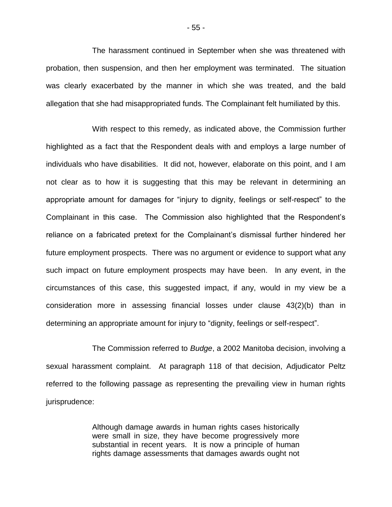The harassment continued in September when she was threatened with probation, then suspension, and then her employment was terminated. The situation was clearly exacerbated by the manner in which she was treated, and the bald allegation that she had misappropriated funds. The Complainant felt humiliated by this.

With respect to this remedy, as indicated above, the Commission further highlighted as a fact that the Respondent deals with and employs a large number of individuals who have disabilities. It did not, however, elaborate on this point, and I am not clear as to how it is suggesting that this may be relevant in determining an appropriate amount for damages for "injury to dignity, feelings or self-respect" to the Complainant in this case. The Commission also highlighted that the Respondent"s reliance on a fabricated pretext for the Complainant"s dismissal further hindered her future employment prospects. There was no argument or evidence to support what any such impact on future employment prospects may have been. In any event, in the circumstances of this case, this suggested impact, if any, would in my view be a consideration more in assessing financial losses under clause 43(2)(b) than in determining an appropriate amount for injury to "dignity, feelings or self-respect".

The Commission referred to *Budge*, a 2002 Manitoba decision, involving a sexual harassment complaint. At paragraph 118 of that decision, Adjudicator Peltz referred to the following passage as representing the prevailing view in human rights jurisprudence:

> Although damage awards in human rights cases historically were small in size, they have become progressively more substantial in recent years. It is now a principle of human rights damage assessments that damages awards ought not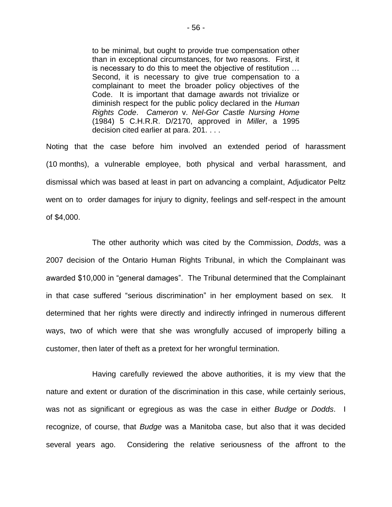to be minimal, but ought to provide true compensation other than in exceptional circumstances, for two reasons. First, it is necessary to do this to meet the objective of restitution … Second, it is necessary to give true compensation to a complainant to meet the broader policy objectives of the Code. It is important that damage awards not trivialize or diminish respect for the public policy declared in the *Human Rights Code*. *Cameron* v. *Nel-Gor Castle Nursing Home* (1984) 5 C.H.R.R. D/2170, approved in *Miller*, a 1995 decision cited earlier at para. 201. . . .

Noting that the case before him involved an extended period of harassment (10 months), a vulnerable employee, both physical and verbal harassment, and dismissal which was based at least in part on advancing a complaint, Adjudicator Peltz went on to order damages for injury to dignity, feelings and self-respect in the amount of \$4,000.

The other authority which was cited by the Commission, *Dodds*, was a 2007 decision of the Ontario Human Rights Tribunal, in which the Complainant was awarded \$10,000 in "general damages". The Tribunal determined that the Complainant in that case suffered "serious discrimination" in her employment based on sex. It determined that her rights were directly and indirectly infringed in numerous different ways, two of which were that she was wrongfully accused of improperly billing a customer, then later of theft as a pretext for her wrongful termination.

Having carefully reviewed the above authorities, it is my view that the nature and extent or duration of the discrimination in this case, while certainly serious, was not as significant or egregious as was the case in either *Budge* or *Dodds*. I recognize, of course, that *Budge* was a Manitoba case, but also that it was decided several years ago. Considering the relative seriousness of the affront to the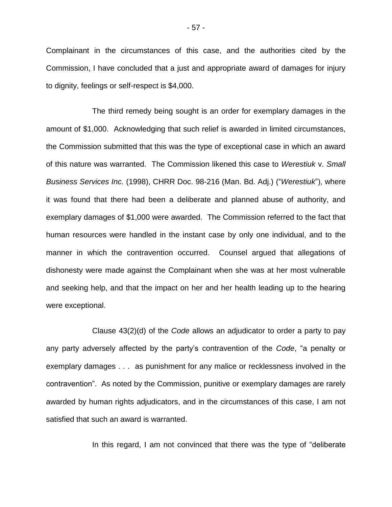Complainant in the circumstances of this case, and the authorities cited by the Commission, I have concluded that a just and appropriate award of damages for injury to dignity, feelings or self-respect is \$4,000.

The third remedy being sought is an order for exemplary damages in the amount of \$1,000. Acknowledging that such relief is awarded in limited circumstances, the Commission submitted that this was the type of exceptional case in which an award of this nature was warranted. The Commission likened this case to *Werestiuk* v. *Small Business Services Inc.* (1998), CHRR Doc. 98-216 (Man. Bd. Adj.) ("*Werestiuk*"), where it was found that there had been a deliberate and planned abuse of authority, and exemplary damages of \$1,000 were awarded. The Commission referred to the fact that human resources were handled in the instant case by only one individual, and to the manner in which the contravention occurred. Counsel argued that allegations of dishonesty were made against the Complainant when she was at her most vulnerable and seeking help, and that the impact on her and her health leading up to the hearing were exceptional.

Clause 43(2)(d) of the *Code* allows an adjudicator to order a party to pay any party adversely affected by the party"s contravention of the *Code*, "a penalty or exemplary damages . . . as punishment for any malice or recklessness involved in the contravention". As noted by the Commission, punitive or exemplary damages are rarely awarded by human rights adjudicators, and in the circumstances of this case, I am not satisfied that such an award is warranted.

In this regard, I am not convinced that there was the type of "deliberate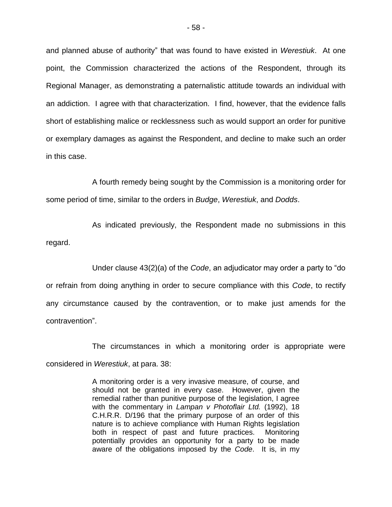and planned abuse of authority" that was found to have existed in *Werestiuk*. At one point, the Commission characterized the actions of the Respondent, through its Regional Manager, as demonstrating a paternalistic attitude towards an individual with an addiction. I agree with that characterization. I find, however, that the evidence falls short of establishing malice or recklessness such as would support an order for punitive or exemplary damages as against the Respondent, and decline to make such an order in this case.

A fourth remedy being sought by the Commission is a monitoring order for some period of time, similar to the orders in *Budge*, *Werestiuk*, and *Dodds*.

As indicated previously, the Respondent made no submissions in this regard.

Under clause 43(2)(a) of the *Code*, an adjudicator may order a party to "do or refrain from doing anything in order to secure compliance with this *Code*, to rectify any circumstance caused by the contravention, or to make just amends for the contravention".

The circumstances in which a monitoring order is appropriate were considered in *Werestiuk*, at para. 38:

> A monitoring order is a very invasive measure, of course, and should not be granted in every case. However, given the remedial rather than punitive purpose of the legislation, I agree with the commentary in *Lampan v Photoflair Ltd.* (1992), 18 C.H.R.R. D/196 that the primary purpose of an order of this nature is to achieve compliance with Human Rights legislation both in respect of past and future practices. Monitoring potentially provides an opportunity for a party to be made aware of the obligations imposed by the *Code*. It is, in my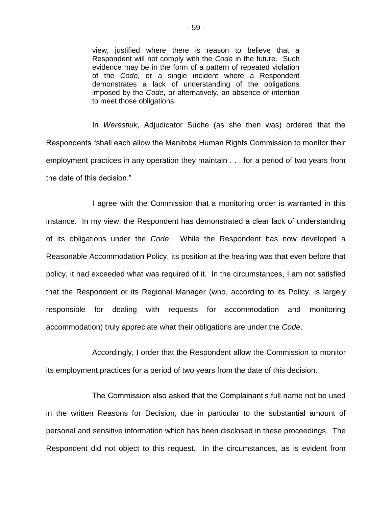view, justified where there is reason to believe that a Respondent will not comply with the *Code* in the future. Such evidence may be in the form of a pattern of repeated violation of the *Code*, or a single incident where a Respondent demonstrates a lack of understanding of the obligations imposed by the *Code*, or alternatively, an absence of intention to meet those obligations.

In *Werestiuk*, Adjudicator Suche (as she then was) ordered that the Respondents "shall each allow the Manitoba Human Rights Commission to monitor their employment practices in any operation they maintain . . . for a period of two years from the date of this decision."

I agree with the Commission that a monitoring order is warranted in this instance. In my view, the Respondent has demonstrated a clear lack of understanding of its obligations under the *Code*. While the Respondent has now developed a Reasonable Accommodation Policy, its position at the hearing was that even before that policy, it had exceeded what was required of it. In the circumstances, I am not satisfied that the Respondent or its Regional Manager (who, according to its Policy, is largely responsible for dealing with requests for accommodation and monitoring accommodation) truly appreciate what their obligations are under the *Code*.

Accordingly, I order that the Respondent allow the Commission to monitor its employment practices for a period of two years from the date of this decision.

The Commission also asked that the Complainant"s full name not be used in the written Reasons for Decision, due in particular to the substantial amount of personal and sensitive information which has been disclosed in these proceedings. The Respondent did not object to this request. In the circumstances, as is evident from